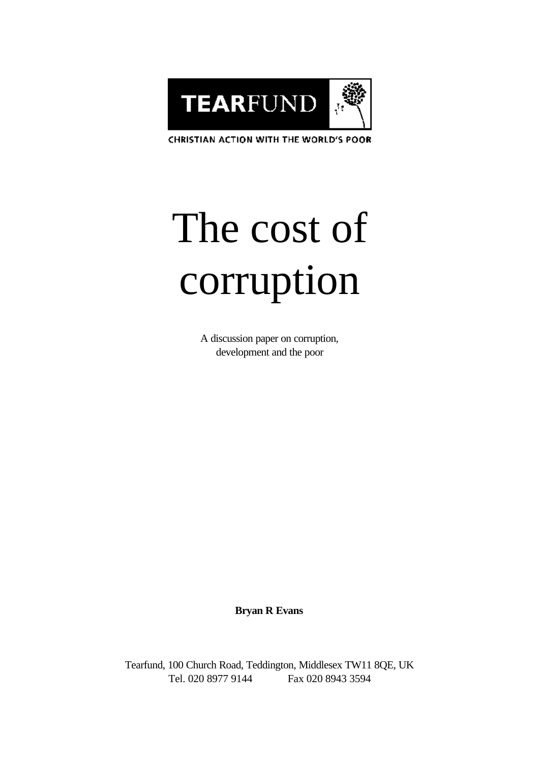

CHRISTIAN ACTION WITH THE WORLD'S POOR

# The cost of corruption

A discussion paper on corruption, development and the poor

**Bryan R Evans**

Tearfund, 100 Church Road, Teddington, Middlesex TW11 8QE, UK Tel. 020 8977 9144 Fax 020 8943 3594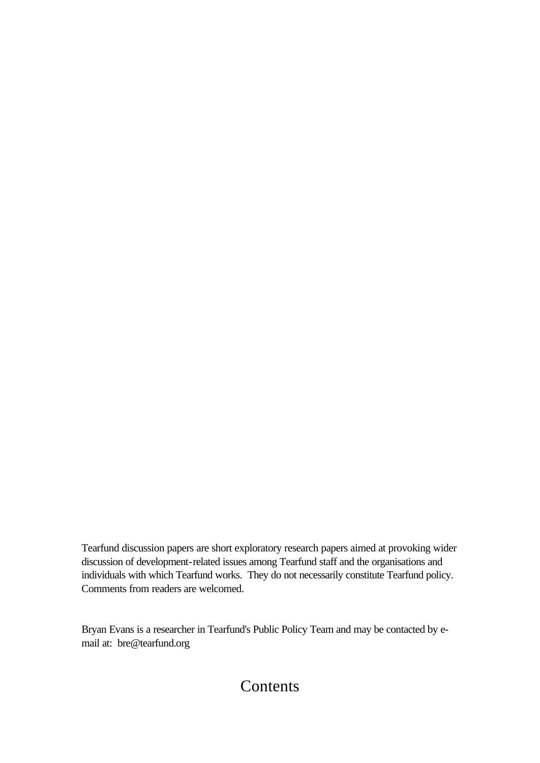Tearfund discussion papers are short exploratory research papers aimed at provoking wider discussion of development-related issues among Tearfund staff and the organisations and individuals with which Tearfund works. They do not necessarily constitute Tearfund policy. Comments from readers are welcomed.

Bryan Evans is a researcher in Tearfund's Public Policy Team and may be contacted by email at: bre@tearfund.org

## Contents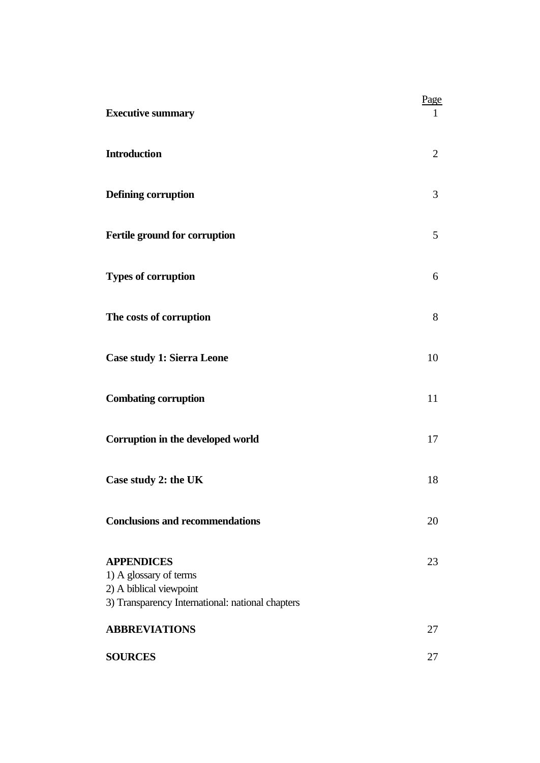| <b>Executive summary</b>                                                                                                   | Page           |
|----------------------------------------------------------------------------------------------------------------------------|----------------|
| <b>Introduction</b>                                                                                                        | $\overline{2}$ |
| Defining corruption                                                                                                        | 3              |
| Fertile ground for corruption                                                                                              | 5              |
| <b>Types of corruption</b>                                                                                                 | 6              |
| The costs of corruption                                                                                                    | 8              |
| Case study 1: Sierra Leone                                                                                                 | 10             |
| <b>Combating corruption</b>                                                                                                | 11             |
| Corruption in the developed world                                                                                          | 17             |
| Case study 2: the UK                                                                                                       | 18             |
| <b>Conclusions and recommendations</b>                                                                                     | 20             |
| <b>APPENDICES</b><br>1) A glossary of terms<br>2) A biblical viewpoint<br>3) Transparency International: national chapters | 23             |
| <b>ABBREVIATIONS</b>                                                                                                       | 27             |
| <b>SOURCES</b>                                                                                                             | 27             |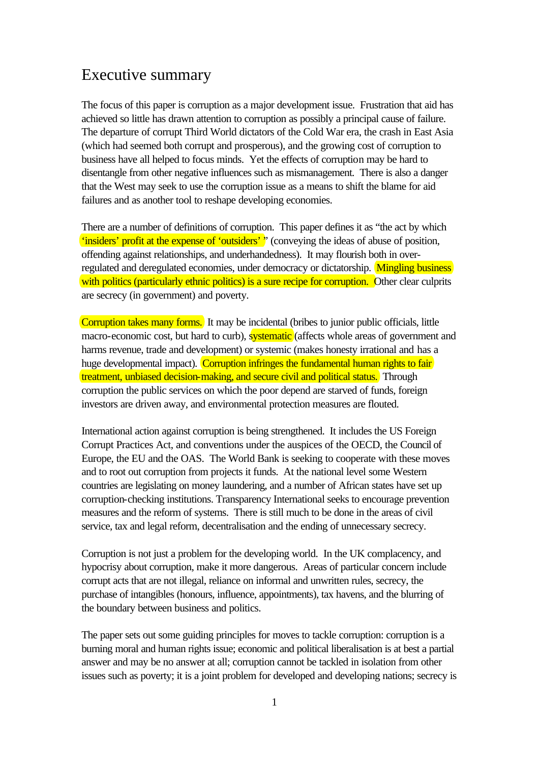## Executive summary

The focus of this paper is corruption as a major development issue. Frustration that aid has achieved so little has drawn attention to corruption as possibly a principal cause of failure. The departure of corrupt Third World dictators of the Cold War era, the crash in East Asia (which had seemed both corrupt and prosperous), and the growing cost of corruption to business have all helped to focus minds. Yet the effects of corruption may be hard to disentangle from other negative influences such as mismanagement. There is also a danger that the West may seek to use the corruption issue as a means to shift the blame for aid failures and as another tool to reshape developing economies.

There are a number of definitions of corruption. This paper defines it as "the act by which 'insiders' profit at the expense of 'outsiders' " (conveying the ideas of abuse of position, offending against relationships, and underhandedness). It may flourish both in overregulated and deregulated economies, under democracy or dictatorship. Mingling business with politics (particularly ethnic politics) is a sure recipe for corruption. Other clear culprits are secrecy (in government) and poverty.

Corruption takes many forms. It may be incidental (bribes to junior public officials, little macro-economic cost, but hard to curb), systematic (affects whole areas of government and harms revenue, trade and development) or systemic (makes honesty irrational and has a huge developmental impact). Corruption infringes the fundamental human rights to fair treatment, unbiased decision-making, and secure civil and political status. Through corruption the public services on which the poor depend are starved of funds, foreign investors are driven away, and environmental protection measures are flouted.

International action against corruption is being strengthened. It includes the US Foreign Corrupt Practices Act, and conventions under the auspices of the OECD, the Council of Europe, the EU and the OAS. The World Bank is seeking to cooperate with these moves and to root out corruption from projects it funds. At the national level some Western countries are legislating on money laundering, and a number of African states have set up corruption-checking institutions. Transparency International seeks to encourage prevention measures and the reform of systems. There is still much to be done in the areas of civil service, tax and legal reform, decentralisation and the ending of unnecessary secrecy.

Corruption is not just a problem for the developing world. In the UK complacency, and hypocrisy about corruption, make it more dangerous. Areas of particular concern include corrupt acts that are not illegal, reliance on informal and unwritten rules, secrecy, the purchase of intangibles (honours, influence, appointments), tax havens, and the blurring of the boundary between business and politics.

The paper sets out some guiding principles for moves to tackle corruption: corruption is a burning moral and human rights issue; economic and political liberalisation is at best a partial answer and may be no answer at all; corruption cannot be tackled in isolation from other issues such as poverty; it is a joint problem for developed and developing nations; secrecy is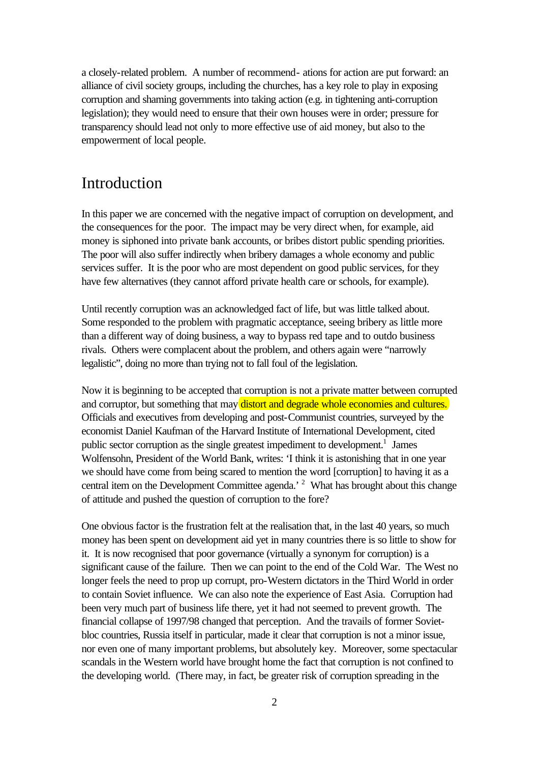a closely-related problem. A number of recommend- ations for action are put forward: an alliance of civil society groups, including the churches, has a key role to play in exposing corruption and shaming governments into taking action (e.g. in tightening anti-corruption legislation); they would need to ensure that their own houses were in order; pressure for transparency should lead not only to more effective use of aid money, but also to the empowerment of local people.

## Introduction

In this paper we are concerned with the negative impact of corruption on development, and the consequences for the poor. The impact may be very direct when, for example, aid money is siphoned into private bank accounts, or bribes distort public spending priorities. The poor will also suffer indirectly when bribery damages a whole economy and public services suffer. It is the poor who are most dependent on good public services, for they have few alternatives (they cannot afford private health care or schools, for example).

Until recently corruption was an acknowledged fact of life, but was little talked about. Some responded to the problem with pragmatic acceptance, seeing bribery as little more than a different way of doing business, a way to bypass red tape and to outdo business rivals. Others were complacent about the problem, and others again were "narrowly legalistic", doing no more than trying not to fall foul of the legislation.

Now it is beginning to be accepted that corruption is not a private matter between corrupted and corruptor, but something that may distort and degrade whole economies and cultures. Officials and executives from developing and post-Communist countries, surveyed by the economist Daniel Kaufman of the Harvard Institute of International Development, cited public sector corruption as the single greatest impediment to development.<sup>1</sup> James Wolfensohn, President of the World Bank, writes: 'I think it is astonishing that in one year we should have come from being scared to mention the word [corruption] to having it as a central item on the Development Committee agenda.<sup>2</sup> What has brought about this change of attitude and pushed the question of corruption to the fore?

One obvious factor is the frustration felt at the realisation that, in the last 40 years, so much money has been spent on development aid yet in many countries there is so little to show for it. It is now recognised that poor governance (virtually a synonym for corruption) is a significant cause of the failure. Then we can point to the end of the Cold War. The West no longer feels the need to prop up corrupt, pro-Western dictators in the Third World in order to contain Soviet influence. We can also note the experience of East Asia. Corruption had been very much part of business life there, yet it had not seemed to prevent growth. The financial collapse of 1997/98 changed that perception. And the travails of former Sovietbloc countries, Russia itself in particular, made it clear that corruption is not a minor issue, nor even one of many important problems, but absolutely key. Moreover, some spectacular scandals in the Western world have brought home the fact that corruption is not confined to the developing world. (There may, in fact, be greater risk of corruption spreading in the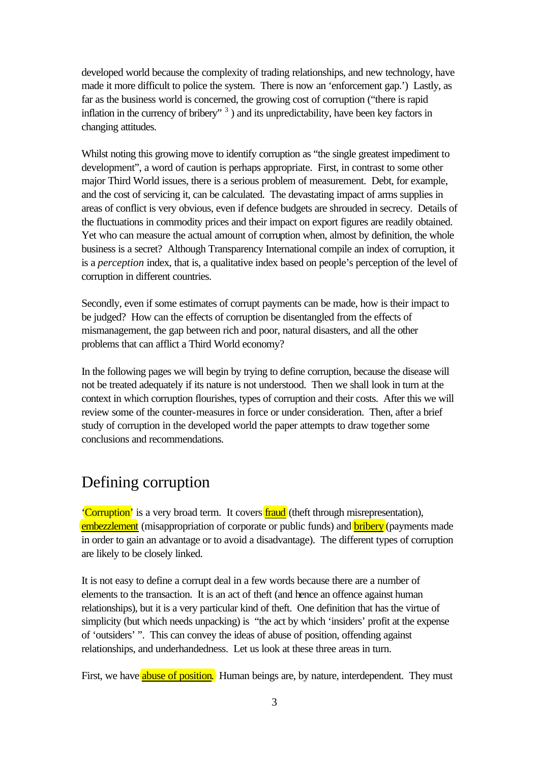developed world because the complexity of trading relationships, and new technology, have made it more difficult to police the system. There is now an 'enforcement gap.') Lastly, as far as the business world is concerned, the growing cost of corruption ("there is rapid inflation in the currency of bribery"<sup>3</sup>) and its unpredictability, have been key factors in changing attitudes.

Whilst noting this growing move to identify corruption as "the single greatest impediment to development", a word of caution is perhaps appropriate. First, in contrast to some other major Third World issues, there is a serious problem of measurement. Debt, for example, and the cost of servicing it, can be calculated. The devastating impact of arms supplies in areas of conflict is very obvious, even if defence budgets are shrouded in secrecy. Details of the fluctuations in commodity prices and their impact on export figures are readily obtained. Yet who can measure the actual amount of corruption when, almost by definition, the whole business is a secret? Although Transparency International compile an index of corruption, it is a *perception* index, that is, a qualitative index based on people's perception of the level of corruption in different countries.

Secondly, even if some estimates of corrupt payments can be made, how is their impact to be judged? How can the effects of corruption be disentangled from the effects of mismanagement, the gap between rich and poor, natural disasters, and all the other problems that can afflict a Third World economy?

In the following pages we will begin by trying to define corruption, because the disease will not be treated adequately if its nature is not understood. Then we shall look in turn at the context in which corruption flourishes, types of corruption and their costs. After this we will review some of the counter-measures in force or under consideration. Then, after a brief study of corruption in the developed world the paper attempts to draw together some conclusions and recommendations.

## Defining corruption

**'Corruption'** is a very broad term. It covers **fraud** (theft through misrepresentation), embezzlement (misappropriation of corporate or public funds) and bribery (payments made in order to gain an advantage or to avoid a disadvantage). The different types of corruption are likely to be closely linked.

It is not easy to define a corrupt deal in a few words because there are a number of elements to the transaction. It is an act of theft (and hence an offence against human relationships), but it is a very particular kind of theft. One definition that has the virtue of simplicity (but which needs unpacking) is "the act by which 'insiders' profit at the expense of 'outsiders' ". This can convey the ideas of abuse of position, offending against relationships, and underhandedness. Let us look at these three areas in turn.

First, we have abuse of position. Human beings are, by nature, interdependent. They must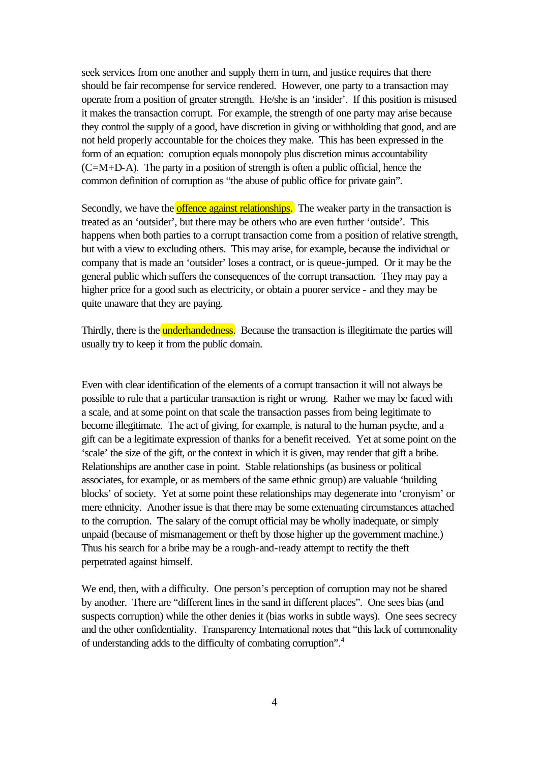seek services from one another and supply them in turn, and justice requires that there should be fair recompense for service rendered. However, one party to a transaction may operate from a position of greater strength. He/she is an 'insider'. If this position is misused it makes the transaction corrupt. For example, the strength of one party may arise because they control the supply of a good, have discretion in giving or withholding that good, and are not held properly accountable for the choices they make. This has been expressed in the form of an equation: corruption equals monopoly plus discretion minus accountability  $(C=M+D-A)$ . The party in a position of strength is often a public official, hence the common definition of corruption as "the abuse of public office for private gain".

Secondly, we have the offence against relationships. The weaker party in the transaction is treated as an 'outsider', but there may be others who are even further 'outside'. This happens when both parties to a corrupt transaction come from a position of relative strength, but with a view to excluding others. This may arise, for example, because the individual or company that is made an 'outsider' loses a contract, or is queue-jumped. Or it may be the general public which suffers the consequences of the corrupt transaction. They may pay a higher price for a good such as electricity, or obtain a poorer service - and they may be quite unaware that they are paying.

Thirdly, there is the **underhandedness**. Because the transaction is illegitimate the parties will usually try to keep it from the public domain.

Even with clear identification of the elements of a corrupt transaction it will not always be possible to rule that a particular transaction is right or wrong. Rather we may be faced with a scale, and at some point on that scale the transaction passes from being legitimate to become illegitimate. The act of giving, for example, is natural to the human psyche, and a gift can be a legitimate expression of thanks for a benefit received. Yet at some point on the 'scale' the size of the gift, or the context in which it is given, may render that gift a bribe. Relationships are another case in point. Stable relationships (as business or political associates, for example, or as members of the same ethnic group) are valuable 'building blocks' of society. Yet at some point these relationships may degenerate into 'cronyism' or mere ethnicity. Another issue is that there may be some extenuating circumstances attached to the corruption. The salary of the corrupt official may be wholly inadequate, or simply unpaid (because of mismanagement or theft by those higher up the government machine.) Thus his search for a bribe may be a rough-and-ready attempt to rectify the theft perpetrated against himself.

We end, then, with a difficulty. One person's perception of corruption may not be shared by another. There are "different lines in the sand in different places". One sees bias (and suspects corruption) while the other denies it (bias works in subtle ways). One sees secrecy and the other confidentiality. Transparency International notes that "this lack of commonality of understanding adds to the difficulty of combating corruption".<sup>4</sup>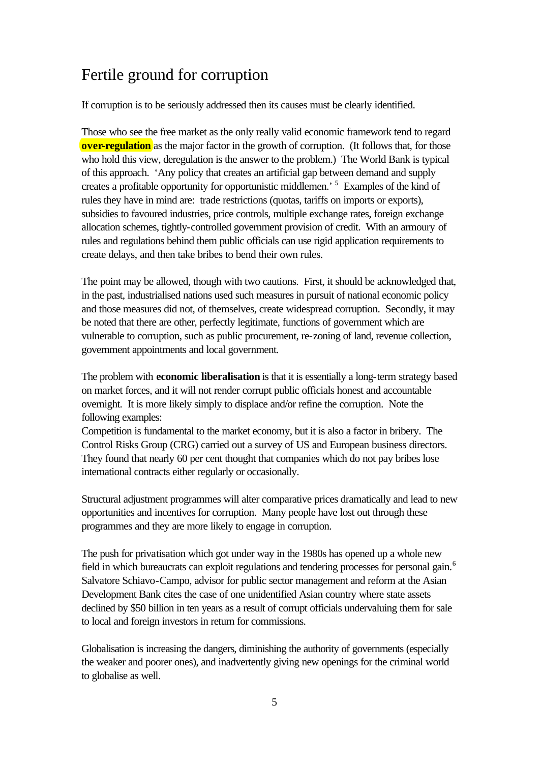## Fertile ground for corruption

If corruption is to be seriously addressed then its causes must be clearly identified.

Those who see the free market as the only really valid economic framework tend to regard **over-regulation** as the major factor in the growth of corruption. (It follows that, for those who hold this view, deregulation is the answer to the problem.) The World Bank is typical of this approach. 'Any policy that creates an artificial gap between demand and supply creates a profitable opportunity for opportunistic middlemen.<sup>5</sup> Examples of the kind of rules they have in mind are: trade restrictions (quotas, tariffs on imports or exports), subsidies to favoured industries, price controls, multiple exchange rates, foreign exchange allocation schemes, tightly-controlled government provision of credit. With an armoury of rules and regulations behind them public officials can use rigid application requirements to create delays, and then take bribes to bend their own rules.

The point may be allowed, though with two cautions. First, it should be acknowledged that, in the past, industrialised nations used such measures in pursuit of national economic policy and those measures did not, of themselves, create widespread corruption. Secondly, it may be noted that there are other, perfectly legitimate, functions of government which are vulnerable to corruption, such as public procurement, re-zoning of land, revenue collection, government appointments and local government.

The problem with **economic liberalisation** is that it is essentially a long-term strategy based on market forces, and it will not render corrupt public officials honest and accountable overnight. It is more likely simply to displace and/or refine the corruption. Note the following examples:

Competition is fundamental to the market economy, but it is also a factor in bribery. The Control Risks Group (CRG) carried out a survey of US and European business directors. They found that nearly 60 per cent thought that companies which do not pay bribes lose international contracts either regularly or occasionally.

Structural adjustment programmes will alter comparative prices dramatically and lead to new opportunities and incentives for corruption. Many people have lost out through these programmes and they are more likely to engage in corruption.

The push for privatisation which got under way in the 1980s has opened up a whole new field in which bureaucrats can exploit regulations and tendering processes for personal gain.<sup>6</sup> Salvatore Schiavo-Campo, advisor for public sector management and reform at the Asian Development Bank cites the case of one unidentified Asian country where state assets declined by \$50 billion in ten years as a result of corrupt officials undervaluing them for sale to local and foreign investors in return for commissions.

Globalisation is increasing the dangers, diminishing the authority of governments (especially the weaker and poorer ones), and inadvertently giving new openings for the criminal world to globalise as well.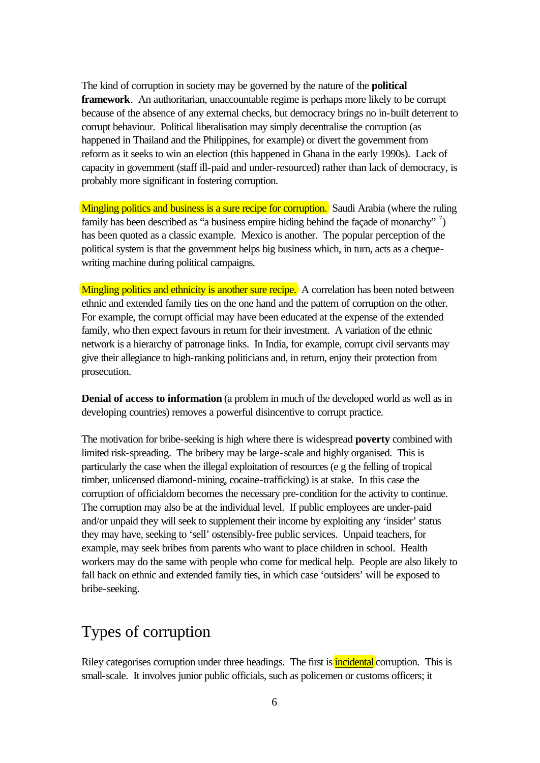The kind of corruption in society may be governed by the nature of the **political framework**. An authoritarian, unaccountable regime is perhaps more likely to be corrupt because of the absence of any external checks, but democracy brings no in-built deterrent to corrupt behaviour. Political liberalisation may simply decentralise the corruption (as happened in Thailand and the Philippines, for example) or divert the government from reform as it seeks to win an election (this happened in Ghana in the early 1990s). Lack of capacity in government (staff ill-paid and under-resourced) rather than lack of democracy, is probably more significant in fostering corruption.

Mingling politics and business is a sure recipe for corruption. Saudi Arabia (where the ruling family has been described as "a business empire hiding behind the façade of monarchy"  $\frac{7}{2}$ ) has been quoted as a classic example. Mexico is another. The popular perception of the political system is that the government helps big business which, in turn, acts as a chequewriting machine during political campaigns.

Mingling politics and ethnicity is another sure recipe. A correlation has been noted between ethnic and extended family ties on the one hand and the pattern of corruption on the other. For example, the corrupt official may have been educated at the expense of the extended family, who then expect favours in return for their investment. A variation of the ethnic network is a hierarchy of patronage links. In India, for example, corrupt civil servants may give their allegiance to high-ranking politicians and, in return, enjoy their protection from prosecution.

**Denial of access to information** (a problem in much of the developed world as well as in developing countries) removes a powerful disincentive to corrupt practice.

The motivation for bribe-seeking is high where there is widespread **poverty** combined with limited risk-spreading. The bribery may be large-scale and highly organised. This is particularly the case when the illegal exploitation of resources (e g the felling of tropical timber, unlicensed diamond-mining, cocaine-trafficking) is at stake. In this case the corruption of officialdom becomes the necessary pre-condition for the activity to continue. The corruption may also be at the individual level. If public employees are under-paid and/or unpaid they will seek to supplement their income by exploiting any 'insider' status they may have, seeking to 'sell' ostensibly-free public services. Unpaid teachers, for example, may seek bribes from parents who want to place children in school. Health workers may do the same with people who come for medical help. People are also likely to fall back on ethnic and extended family ties, in which case 'outsiders' will be exposed to bribe-seeking.

## Types of corruption

Riley categorises corruption under three headings. The first is **incidental** corruption. This is small-scale. It involves junior public officials, such as policemen or customs officers; it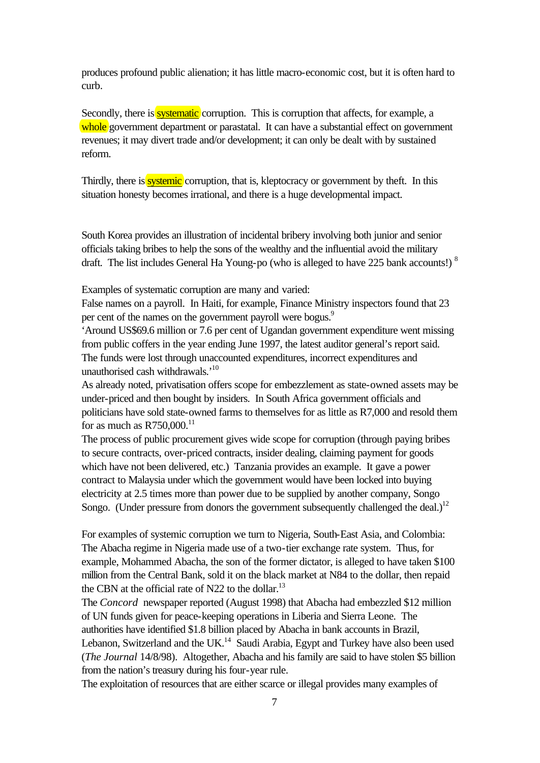produces profound public alienation; it has little macro-economic cost, but it is often hard to curb.

Secondly, there is **systematic** corruption. This is corruption that affects, for example, a whole government department or parastatal. It can have a substantial effect on government revenues; it may divert trade and/or development; it can only be dealt with by sustained reform.

Thirdly, there is **systemic** corruption, that is, kleptocracy or government by theft. In this situation honesty becomes irrational, and there is a huge developmental impact.

South Korea provides an illustration of incidental bribery involving both junior and senior officials taking bribes to help the sons of the wealthy and the influential avoid the military draft. The list includes General Ha Young-po (who is alleged to have 225 bank accounts!) <sup>8</sup>

Examples of systematic corruption are many and varied:

False names on a payroll. In Haiti, for example, Finance Ministry inspectors found that 23 per cent of the names on the government payroll were bogus.<sup>9</sup>

'Around US\$69.6 million or 7.6 per cent of Ugandan government expenditure went missing from public coffers in the year ending June 1997, the latest auditor general's report said. The funds were lost through unaccounted expenditures, incorrect expenditures and unauthorised cash withdrawals.'<sup>10</sup>

As already noted, privatisation offers scope for embezzlement as state-owned assets may be under-priced and then bought by insiders. In South Africa government officials and politicians have sold state-owned farms to themselves for as little as R7,000 and resold them for as much as  $R750,000$ .<sup>11</sup>

The process of public procurement gives wide scope for corruption (through paying bribes to secure contracts, over-priced contracts, insider dealing, claiming payment for goods which have not been delivered, etc.) Tanzania provides an example. It gave a power contract to Malaysia under which the government would have been locked into buying electricity at 2.5 times more than power due to be supplied by another company, Songo Songo. (Under pressure from donors the government subsequently challenged the deal.)<sup>12</sup>

For examples of systemic corruption we turn to Nigeria, South-East Asia, and Colombia: The Abacha regime in Nigeria made use of a two-tier exchange rate system. Thus, for example, Mohammed Abacha, the son of the former dictator, is alleged to have taken \$100 million from the Central Bank, sold it on the black market at N84 to the dollar, then repaid the CBN at the official rate of N22 to the dollar.<sup>13</sup>

The *Concord* newspaper reported (August 1998) that Abacha had embezzled \$12 million of UN funds given for peace-keeping operations in Liberia and Sierra Leone. The authorities have identified \$1.8 billion placed by Abacha in bank accounts in Brazil, Lebanon, Switzerland and the UK. $<sup>14</sup>$  Saudi Arabia, Egypt and Turkey have also been used</sup> (*The Journal* 14/8/98). Altogether, Abacha and his family are said to have stolen \$5 billion from the nation's treasury during his four-year rule.

The exploitation of resources that are either scarce or illegal provides many examples of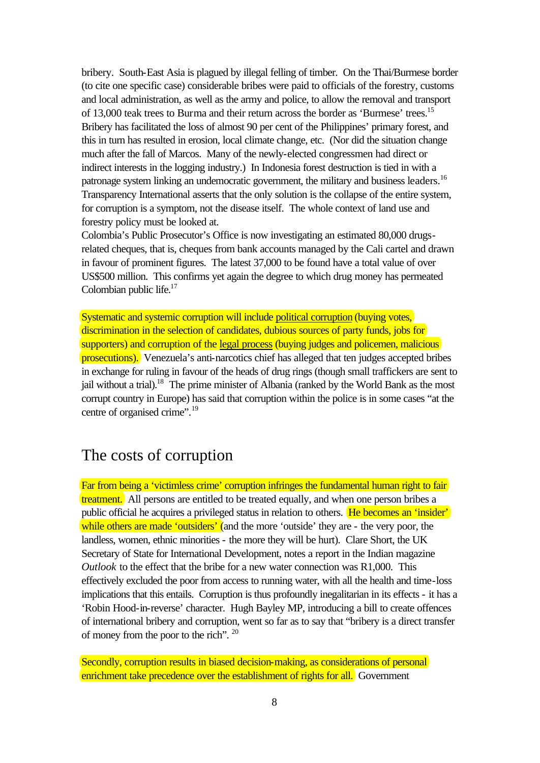bribery. South-East Asia is plagued by illegal felling of timber. On the Thai/Burmese border (to cite one specific case) considerable bribes were paid to officials of the forestry, customs and local administration, as well as the army and police, to allow the removal and transport of 13,000 teak trees to Burma and their return across the border as 'Burmese' trees.<sup>15</sup> Bribery has facilitated the loss of almost 90 per cent of the Philippines' primary forest, and this in turn has resulted in erosion, local climate change, etc. (Nor did the situation change much after the fall of Marcos. Many of the newly-elected congressmen had direct or indirect interests in the logging industry.) In Indonesia forest destruction is tied in with a patronage system linking an undemocratic government, the military and business leaders.<sup>16</sup> Transparency International asserts that the only solution is the collapse of the entire system, for corruption is a symptom, not the disease itself. The whole context of land use and forestry policy must be looked at.

Colombia's Public Prosecutor's Office is now investigating an estimated 80,000 drugsrelated cheques, that is, cheques from bank accounts managed by the Cali cartel and drawn in favour of prominent figures. The latest 37,000 to be found have a total value of over US\$500 million. This confirms yet again the degree to which drug money has permeated Colombian public life. $17$ 

Systematic and systemic corruption will include political corruption (buying votes, discrimination in the selection of candidates, dubious sources of party funds, jobs for supporters) and corruption of the legal process (buying judges and policemen, malicious prosecutions). Venezuela's anti-narcotics chief has alleged that ten judges accepted bribes in exchange for ruling in favour of the heads of drug rings (though small traffickers are sent to jail without a trial).<sup>18</sup> The prime minister of Albania (ranked by the World Bank as the most corrupt country in Europe) has said that corruption within the police is in some cases "at the centre of organised crime".<sup>19</sup>

## The costs of corruption

Far from being a 'victimless crime' corruption infringes the fundamental human right to fair treatment. All persons are entitled to be treated equally, and when one person bribes a public official he acquires a privileged status in relation to others. He becomes an 'insider' while others are made 'outsiders' (and the more 'outside' they are - the very poor, the landless, women, ethnic minorities - the more they will be hurt). Clare Short, the UK Secretary of State for International Development, notes a report in the Indian magazine *Outlook* to the effect that the bribe for a new water connection was R1,000. This effectively excluded the poor from access to running water, with all the health and time-loss implications that this entails. Corruption is thus profoundly inegalitarian in its effects - it has a 'Robin Hood-in-reverse' character. Hugh Bayley MP, introducing a bill to create offences of international bribery and corruption, went so far as to say that "bribery is a direct transfer of money from the poor to the rich". <sup>20</sup>

Secondly, corruption results in biased decision-making, as considerations of personal enrichment take precedence over the establishment of rights for all. Government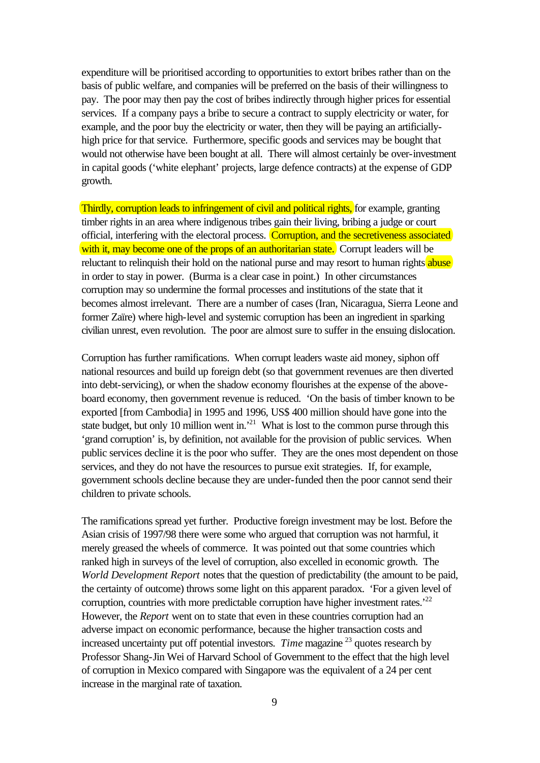expenditure will be prioritised according to opportunities to extort bribes rather than on the basis of public welfare, and companies will be preferred on the basis of their willingness to pay. The poor may then pay the cost of bribes indirectly through higher prices for essential services. If a company pays a bribe to secure a contract to supply electricity or water, for example, and the poor buy the electricity or water, then they will be paying an artificiallyhigh price for that service. Furthermore, specific goods and services may be bought that would not otherwise have been bought at all. There will almost certainly be over-investment in capital goods ('white elephant' projects, large defence contracts) at the expense of GDP growth.

Thirdly, corruption leads to infringement of civil and political rights, for example, granting timber rights in an area where indigenous tribes gain their living, bribing a judge or court official, interfering with the electoral process. Corruption, and the secretiveness associated with it, may become one of the props of an authoritarian state. Corrupt leaders will be reluctant to relinquish their hold on the national purse and may resort to human rights abuse in order to stay in power. (Burma is a clear case in point.) In other circumstances corruption may so undermine the formal processes and institutions of the state that it becomes almost irrelevant. There are a number of cases (Iran, Nicaragua, Sierra Leone and former Zaïre) where high-level and systemic corruption has been an ingredient in sparking civilian unrest, even revolution. The poor are almost sure to suffer in the ensuing dislocation.

Corruption has further ramifications. When corrupt leaders waste aid money, siphon off national resources and build up foreign debt (so that government revenues are then diverted into debt-servicing), or when the shadow economy flourishes at the expense of the aboveboard economy, then government revenue is reduced. 'On the basis of timber known to be exported [from Cambodia] in 1995 and 1996, US\$ 400 million should have gone into the state budget, but only 10 million went in.<sup>21</sup> What is lost to the common purse through this 'grand corruption' is, by definition, not available for the provision of public services. When public services decline it is the poor who suffer. They are the ones most dependent on those services, and they do not have the resources to pursue exit strategies. If, for example, government schools decline because they are under-funded then the poor cannot send their children to private schools.

The ramifications spread yet further. Productive foreign investment may be lost. Before the Asian crisis of 1997/98 there were some who argued that corruption was not harmful, it merely greased the wheels of commerce. It was pointed out that some countries which ranked high in surveys of the level of corruption, also excelled in economic growth. The *World Development Report* notes that the question of predictability (the amount to be paid, the certainty of outcome) throws some light on this apparent paradox. 'For a given level of corruption, countries with more predictable corruption have higher investment rates.<sup> $22$ </sup> However, the *Report* went on to state that even in these countries corruption had an adverse impact on economic performance, because the higher transaction costs and increased uncertainty put off potential investors. *Time* magazine <sup>23</sup> quotes research by Professor Shang-Jin Wei of Harvard School of Government to the effect that the high level of corruption in Mexico compared with Singapore was the equivalent of a 24 per cent increase in the marginal rate of taxation.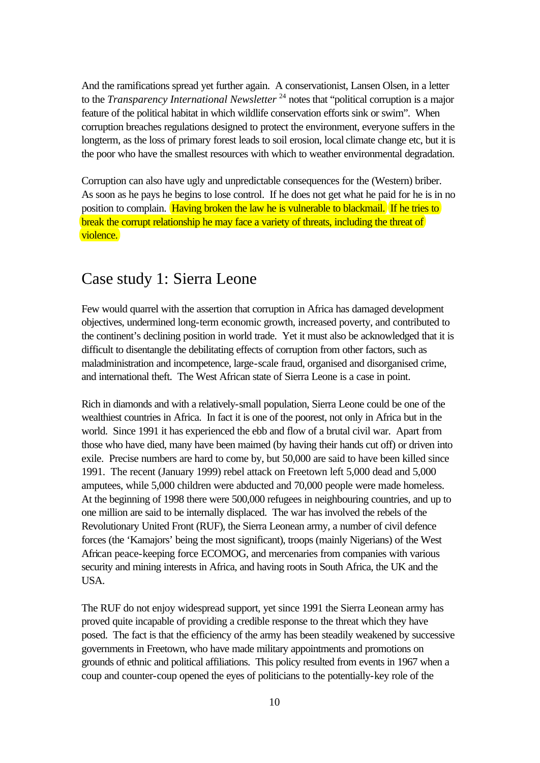And the ramifications spread yet further again. A conservationist, Lansen Olsen, in a letter to the *Transparency International Newsletter*<sup>24</sup> notes that "political corruption is a major feature of the political habitat in which wildlife conservation efforts sink or swim". When corruption breaches regulations designed to protect the environment, everyone suffers in the longterm, as the loss of primary forest leads to soil erosion, local climate change etc, but it is the poor who have the smallest resources with which to weather environmental degradation.

Corruption can also have ugly and unpredictable consequences for the (Western) briber. As soon as he pays he begins to lose control. If he does not get what he paid for he is in no position to complain. Having broken the law he is vulnerable to blackmail. If he tries to break the corrupt relationship he may face a variety of threats, including the threat of violence.

## Case study 1: Sierra Leone

Few would quarrel with the assertion that corruption in Africa has damaged development objectives, undermined long-term economic growth, increased poverty, and contributed to the continent's declining position in world trade. Yet it must also be acknowledged that it is difficult to disentangle the debilitating effects of corruption from other factors, such as maladministration and incompetence, large-scale fraud, organised and disorganised crime, and international theft. The West African state of Sierra Leone is a case in point.

Rich in diamonds and with a relatively-small population, Sierra Leone could be one of the wealthiest countries in Africa. In fact it is one of the poorest, not only in Africa but in the world. Since 1991 it has experienced the ebb and flow of a brutal civil war. Apart from those who have died, many have been maimed (by having their hands cut off) or driven into exile. Precise numbers are hard to come by, but 50,000 are said to have been killed since 1991. The recent (January 1999) rebel attack on Freetown left 5,000 dead and 5,000 amputees, while 5,000 children were abducted and 70,000 people were made homeless. At the beginning of 1998 there were 500,000 refugees in neighbouring countries, and up to one million are said to be internally displaced. The war has involved the rebels of the Revolutionary United Front (RUF), the Sierra Leonean army, a number of civil defence forces (the 'Kamajors' being the most significant), troops (mainly Nigerians) of the West African peace-keeping force ECOMOG, and mercenaries from companies with various security and mining interests in Africa, and having roots in South Africa, the UK and the USA.

The RUF do not enjoy widespread support, yet since 1991 the Sierra Leonean army has proved quite incapable of providing a credible response to the threat which they have posed. The fact is that the efficiency of the army has been steadily weakened by successive governments in Freetown, who have made military appointments and promotions on grounds of ethnic and political affiliations. This policy resulted from events in 1967 when a coup and counter-coup opened the eyes of politicians to the potentially-key role of the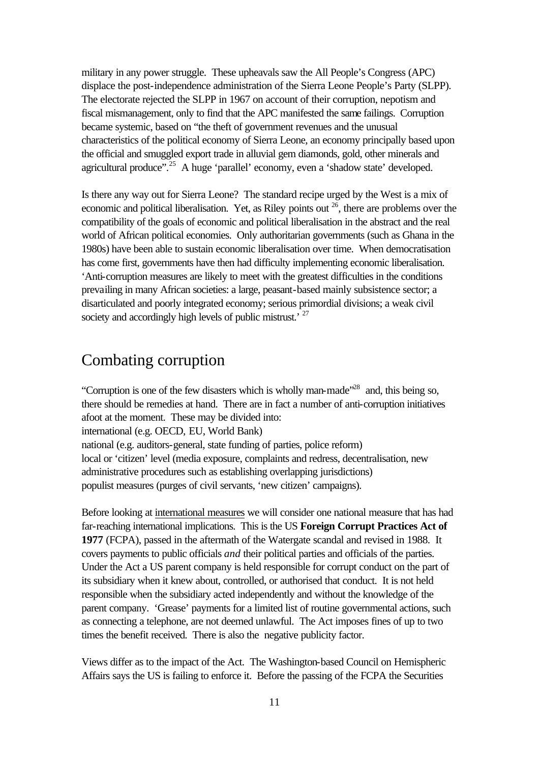military in any power struggle. These upheavals saw the All People's Congress (APC) displace the post-independence administration of the Sierra Leone People's Party (SLPP). The electorate rejected the SLPP in 1967 on account of their corruption, nepotism and fiscal mismanagement, only to find that the APC manifested the same failings. Corruption became systemic, based on "the theft of government revenues and the unusual characteristics of the political economy of Sierra Leone, an economy principally based upon the official and smuggled export trade in alluvial gem diamonds, gold, other minerals and agricultural produce".<sup>25</sup> A huge 'parallel' economy, even a 'shadow state' developed.

Is there any way out for Sierra Leone? The standard recipe urged by the West is a mix of economic and political liberalisation. Yet, as Riley points out  $^{26}$ , there are problems over the compatibility of the goals of economic and political liberalisation in the abstract and the real world of African political economies. Only authoritarian governments (such as Ghana in the 1980s) have been able to sustain economic liberalisation over time. When democratisation has come first, governments have then had difficulty implementing economic liberalisation. 'Anti-corruption measures are likely to meet with the greatest difficulties in the conditions prevailing in many African societies: a large, peasant-based mainly subsistence sector; a disarticulated and poorly integrated economy; serious primordial divisions; a weak civil society and accordingly high levels of public mistrust.<sup>27</sup>

## Combating corruption

"Corruption is one of the few disasters which is wholly man-made"<sup>28</sup> and, this being so, there should be remedies at hand. There are in fact a number of anti-corruption initiatives afoot at the moment. These may be divided into: international (e.g. OECD, EU, World Bank) national (e.g. auditors-general, state funding of parties, police reform) local or 'citizen' level (media exposure, complaints and redress, decentralisation, new administrative procedures such as establishing overlapping jurisdictions) populist measures (purges of civil servants, 'new citizen' campaigns).

Before looking at international measures we will consider one national measure that has had far-reaching international implications. This is the US **Foreign Corrupt Practices Act of 1977** (FCPA), passed in the aftermath of the Watergate scandal and revised in 1988. It covers payments to public officials *and* their political parties and officials of the parties. Under the Act a US parent company is held responsible for corrupt conduct on the part of its subsidiary when it knew about, controlled, or authorised that conduct. It is not held responsible when the subsidiary acted independently and without the knowledge of the parent company. 'Grease' payments for a limited list of routine governmental actions, such as connecting a telephone, are not deemed unlawful. The Act imposes fines of up to two times the benefit received. There is also the negative publicity factor.

Views differ as to the impact of the Act. The Washington-based Council on Hemispheric Affairs says the US is failing to enforce it. Before the passing of the FCPA the Securities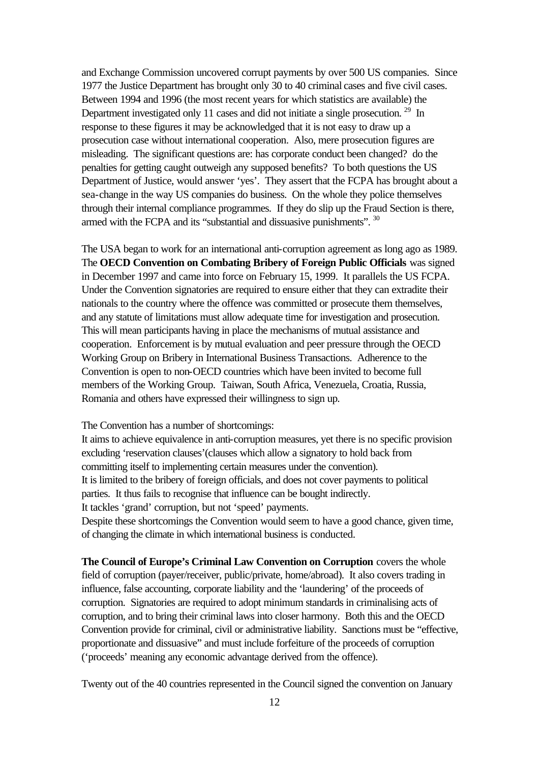and Exchange Commission uncovered corrupt payments by over 500 US companies. Since 1977 the Justice Department has brought only 30 to 40 criminal cases and five civil cases. Between 1994 and 1996 (the most recent years for which statistics are available) the Department investigated only 11 cases and did not initiate a single prosecution.<sup>29</sup> In response to these figures it may be acknowledged that it is not easy to draw up a prosecution case without international cooperation. Also, mere prosecution figures are misleading. The significant questions are: has corporate conduct been changed? do the penalties for getting caught outweigh any supposed benefits? To both questions the US Department of Justice, would answer 'yes'. They assert that the FCPA has brought about a sea-change in the way US companies do business. On the whole they police themselves through their internal compliance programmes. If they do slip up the Fraud Section is there, armed with the FCPA and its "substantial and dissuasive punishments". <sup>30</sup>

The USA began to work for an international anti-corruption agreement as long ago as 1989. The **OECD Convention on Combating Bribery of Foreign Public Officials** was signed in December 1997 and came into force on February 15, 1999. It parallels the US FCPA. Under the Convention signatories are required to ensure either that they can extradite their nationals to the country where the offence was committed or prosecute them themselves, and any statute of limitations must allow adequate time for investigation and prosecution. This will mean participants having in place the mechanisms of mutual assistance and cooperation. Enforcement is by mutual evaluation and peer pressure through the OECD Working Group on Bribery in International Business Transactions. Adherence to the Convention is open to non-OECD countries which have been invited to become full members of the Working Group. Taiwan, South Africa, Venezuela, Croatia, Russia, Romania and others have expressed their willingness to sign up.

The Convention has a number of shortcomings:

It aims to achieve equivalence in anti-corruption measures, yet there is no specific provision excluding 'reservation clauses'(clauses which allow a signatory to hold back from committing itself to implementing certain measures under the convention). It is limited to the bribery of foreign officials, and does not cover payments to political parties. It thus fails to recognise that influence can be bought indirectly. It tackles 'grand' corruption, but not 'speed' payments. Despite these shortcomings the Convention would seem to have a good chance, given time, of changing the climate in which international business is conducted.

**The Council of Europe's Criminal Law Convention on Corruption** covers the whole field of corruption (payer/receiver, public/private, home/abroad). It also covers trading in influence, false accounting, corporate liability and the 'laundering' of the proceeds of corruption. Signatories are required to adopt minimum standards in criminalising acts of corruption, and to bring their criminal laws into closer harmony. Both this and the OECD Convention provide for criminal, civil or administrative liability. Sanctions must be "effective, proportionate and dissuasive" and must include forfeiture of the proceeds of corruption ('proceeds' meaning any economic advantage derived from the offence).

Twenty out of the 40 countries represented in the Council signed the convention on January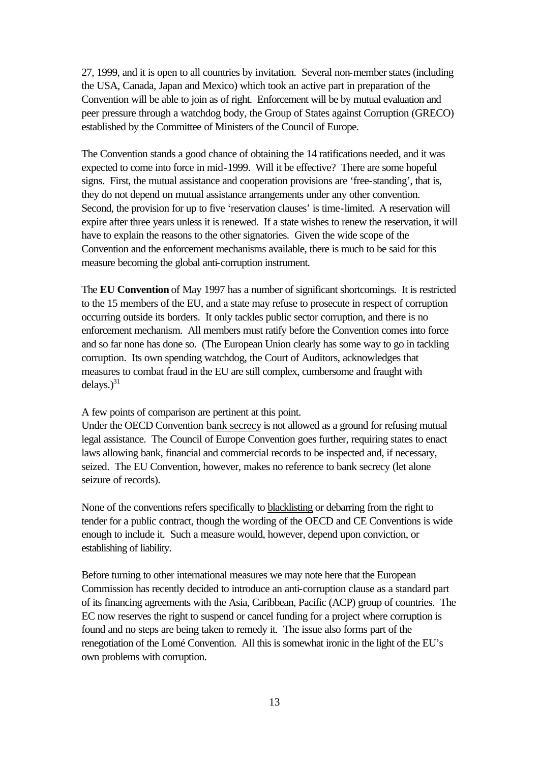27, 1999, and it is open to all countries by invitation. Several non-member states (including the USA, Canada, Japan and Mexico) which took an active part in preparation of the Convention will be able to join as of right. Enforcement will be by mutual evaluation and peer pressure through a watchdog body, the Group of States against Corruption (GRECO) established by the Committee of Ministers of the Council of Europe.

The Convention stands a good chance of obtaining the 14 ratifications needed, and it was expected to come into force in mid-1999. Will it be effective? There are some hopeful signs. First, the mutual assistance and cooperation provisions are 'free-standing', that is, they do not depend on mutual assistance arrangements under any other convention. Second, the provision for up to five 'reservation clauses' is time-limited. A reservation will expire after three years unless it is renewed. If a state wishes to renew the reservation, it will have to explain the reasons to the other signatories. Given the wide scope of the Convention and the enforcement mechanisms available, there is much to be said for this measure becoming the global anti-corruption instrument.

The **EU Convention** of May 1997 has a number of significant shortcomings. It is restricted to the 15 members of the EU, and a state may refuse to prosecute in respect of corruption occurring outside its borders. It only tackles public sector corruption, and there is no enforcement mechanism. All members must ratify before the Convention comes into force and so far none has done so. (The European Union clearly has some way to go in tackling corruption. Its own spending watchdog, the Court of Auditors, acknowledges that measures to combat fraud in the EU are still complex, cumbersome and fraught with delays. $)^{31}$ 

A few points of comparison are pertinent at this point.

Under the OECD Convention bank secrecy is not allowed as a ground for refusing mutual legal assistance. The Council of Europe Convention goes further, requiring states to enact laws allowing bank, financial and commercial records to be inspected and, if necessary, seized. The EU Convention, however, makes no reference to bank secrecy (let alone seizure of records).

None of the conventions refers specifically to blacklisting or debarring from the right to tender for a public contract, though the wording of the OECD and CE Conventions is wide enough to include it. Such a measure would, however, depend upon conviction, or establishing of liability.

Before turning to other international measures we may note here that the European Commission has recently decided to introduce an anti-corruption clause as a standard part of its financing agreements with the Asia, Caribbean, Pacific (ACP) group of countries. The EC now reserves the right to suspend or cancel funding for a project where corruption is found and no steps are being taken to remedy it. The issue also forms part of the renegotiation of the Lomé Convention. All this is somewhat ironic in the light of the EU's own problems with corruption.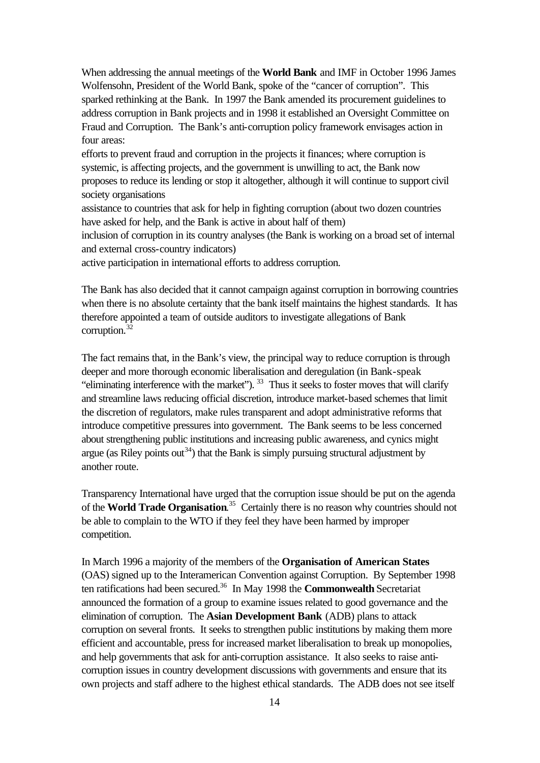When addressing the annual meetings of the **World Bank** and IMF in October 1996 James Wolfensohn, President of the World Bank, spoke of the "cancer of corruption". This sparked rethinking at the Bank. In 1997 the Bank amended its procurement guidelines to address corruption in Bank projects and in 1998 it established an Oversight Committee on Fraud and Corruption. The Bank's anti-corruption policy framework envisages action in four areas:

efforts to prevent fraud and corruption in the projects it finances; where corruption is systemic, is affecting projects, and the government is unwilling to act, the Bank now proposes to reduce its lending or stop it altogether, although it will continue to support civil society organisations

assistance to countries that ask for help in fighting corruption (about two dozen countries have asked for help, and the Bank is active in about half of them)

inclusion of corruption in its country analyses (the Bank is working on a broad set of internal and external cross-country indicators)

active participation in international efforts to address corruption.

The Bank has also decided that it cannot campaign against corruption in borrowing countries when there is no absolute certainty that the bank itself maintains the highest standards. It has therefore appointed a team of outside auditors to investigate allegations of Bank corruption.<sup>32</sup>

The fact remains that, in the Bank's view, the principal way to reduce corruption is through deeper and more thorough economic liberalisation and deregulation (in Bank-speak "eliminating interference with the market").  $33$  Thus it seeks to foster moves that will clarify and streamline laws reducing official discretion, introduce market-based schemes that limit the discretion of regulators, make rules transparent and adopt administrative reforms that introduce competitive pressures into government. The Bank seems to be less concerned about strengthening public institutions and increasing public awareness, and cynics might argue (as Riley points out<sup>34</sup>) that the Bank is simply pursuing structural adjustment by another route.

Transparency International have urged that the corruption issue should be put on the agenda of the **World Trade Organisation**. <sup>35</sup> Certainly there is no reason why countries should not be able to complain to the WTO if they feel they have been harmed by improper competition.

In March 1996 a majority of the members of the **Organisation of American States** (OAS) signed up to the Interamerican Convention against Corruption. By September 1998 ten ratifications had been secured.<sup>36</sup> In May 1998 the **Commonwealth** Secretariat announced the formation of a group to examine issues related to good governance and the elimination of corruption. The **Asian Development Bank** (ADB) plans to attack corruption on several fronts. It seeks to strengthen public institutions by making them more efficient and accountable, press for increased market liberalisation to break up monopolies, and help governments that ask for anti-corruption assistance. It also seeks to raise anticorruption issues in country development discussions with governments and ensure that its own projects and staff adhere to the highest ethical standards. The ADB does not see itself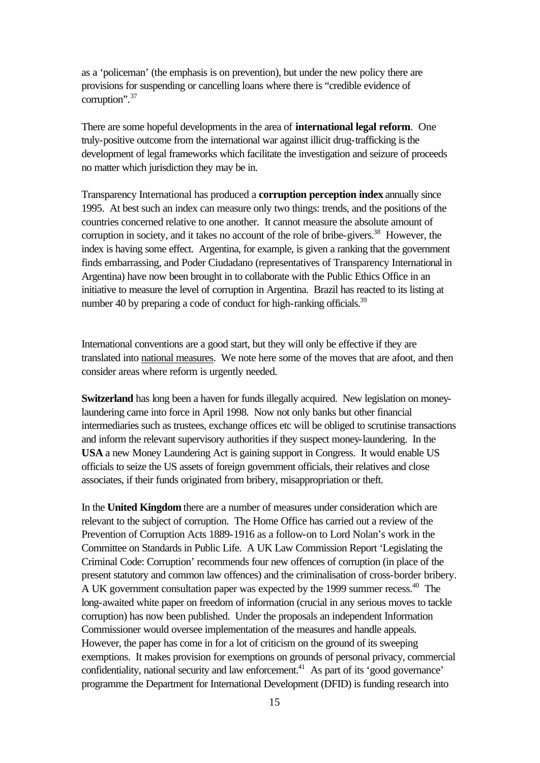as a 'policeman' (the emphasis is on prevention), but under the new policy there are provisions for suspending or cancelling loans where there is "credible evidence of corruption".<sup>37</sup>

There are some hopeful developments in the area of **international legal reform**. One truly-positive outcome from the international war against illicit drug-trafficking is the development of legal frameworks which facilitate the investigation and seizure of proceeds no matter which jurisdiction they may be in.

Transparency International has produced a **corruption perception index** annually since 1995. At best such an index can measure only two things: trends, and the positions of the countries concerned relative to one another. It cannot measure the absolute amount of corruption in society, and it takes no account of the role of bribe-givers.<sup>38</sup> However, the index is having some effect. Argentina, for example, is given a ranking that the government finds embarrassing, and Poder Ciudadano (representatives of Transparency International in Argentina) have now been brought in to collaborate with the Public Ethics Office in an initiative to measure the level of corruption in Argentina. Brazil has reacted to its listing at number 40 by preparing a code of conduct for high-ranking officials.<sup>39</sup>

International conventions are a good start, but they will only be effective if they are translated into national measures. We note here some of the moves that are afoot, and then consider areas where reform is urgently needed.

**Switzerland** has long been a haven for funds illegally acquired. New legislation on moneylaundering came into force in April 1998. Now not only banks but other financial intermediaries such as trustees, exchange offices etc will be obliged to scrutinise transactions and inform the relevant supervisory authorities if they suspect money-laundering. In the **USA** a new Money Laundering Act is gaining support in Congress. It would enable US officials to seize the US assets of foreign government officials, their relatives and close associates, if their funds originated from bribery, misappropriation or theft.

In the **United Kingdom** there are a number of measures under consideration which are relevant to the subject of corruption. The Home Office has carried out a review of the Prevention of Corruption Acts 1889-1916 as a follow-on to Lord Nolan's work in the Committee on Standards in Public Life. A UK Law Commission Report 'Legislating the Criminal Code: Corruption' recommends four new offences of corruption (in place of the present statutory and common law offences) and the criminalisation of cross-border bribery. A UK government consultation paper was expected by the 1999 summer recess.<sup>40</sup> The long-awaited white paper on freedom of information (crucial in any serious moves to tackle corruption) has now been published. Under the proposals an independent Information Commissioner would oversee implementation of the measures and handle appeals. However, the paper has come in for a lot of criticism on the ground of its sweeping exemptions. It makes provision for exemptions on grounds of personal privacy, commercial confidentiality, national security and law enforcement.<sup>41</sup> As part of its 'good governance' programme the Department for International Development (DFID) is funding research into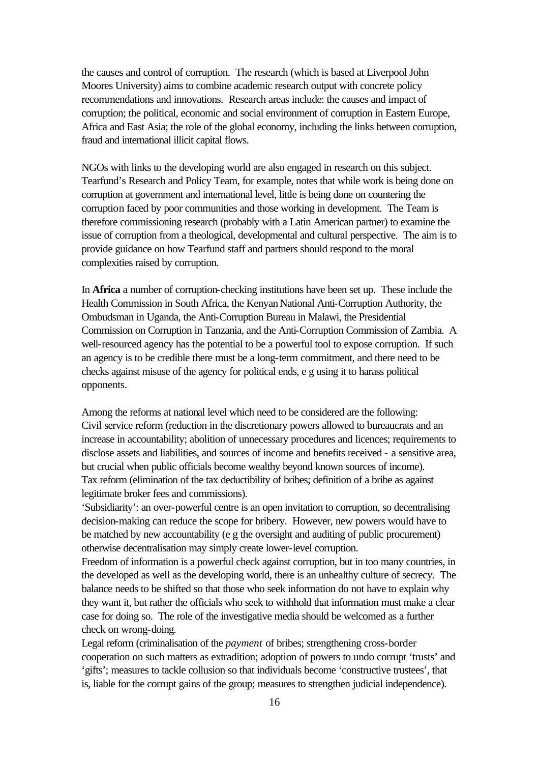the causes and control of corruption. The research (which is based at Liverpool John Moores University) aims to combine academic research output with concrete policy recommendations and innovations. Research areas include: the causes and impact of corruption; the political, economic and social environment of corruption in Eastern Europe, Africa and East Asia; the role of the global economy, including the links between corruption, fraud and international illicit capital flows.

NGOs with links to the developing world are also engaged in research on this subject. Tearfund's Research and Policy Team, for example, notes that while work is being done on corruption at government and international level, little is being done on countering the corruption faced by poor communities and those working in development. The Team is therefore commissioning research (probably with a Latin American partner) to examine the issue of corruption from a theological, developmental and cultural perspective. The aim is to provide guidance on how Tearfund staff and partners should respond to the moral complexities raised by corruption.

In **Africa** a number of corruption-checking institutions have been set up. These include the Health Commission in South Africa, the Kenyan National Anti-Corruption Authority, the Ombudsman in Uganda, the Anti-Corruption Bureau in Malawi, the Presidential Commission on Corruption in Tanzania, and the Anti-Corruption Commission of Zambia. A well-resourced agency has the potential to be a powerful tool to expose corruption. If such an agency is to be credible there must be a long-term commitment, and there need to be checks against misuse of the agency for political ends, e g using it to harass political opponents.

Among the reforms at national level which need to be considered are the following: Civil service reform (reduction in the discretionary powers allowed to bureaucrats and an increase in accountability; abolition of unnecessary procedures and licences; requirements to disclose assets and liabilities, and sources of income and benefits received - a sensitive area, but crucial when public officials become wealthy beyond known sources of income). Tax reform (elimination of the tax deductibility of bribes; definition of a bribe as against legitimate broker fees and commissions).

'Subsidiarity': an over-powerful centre is an open invitation to corruption, so decentralising decision-making can reduce the scope for bribery. However, new powers would have to be matched by new accountability (e g the oversight and auditing of public procurement) otherwise decentralisation may simply create lower-level corruption.

Freedom of information is a powerful check against corruption, but in too many countries, in the developed as well as the developing world, there is an unhealthy culture of secrecy. The balance needs to be shifted so that those who seek information do not have to explain why they want it, but rather the officials who seek to withhold that information must make a clear case for doing so. The role of the investigative media should be welcomed as a further check on wrong-doing.

Legal reform (criminalisation of the *payment* of bribes; strengthening cross-border cooperation on such matters as extradition; adoption of powers to undo corrupt 'trusts' and 'gifts'; measures to tackle collusion so that individuals become 'constructive trustees', that is, liable for the corrupt gains of the group; measures to strengthen judicial independence).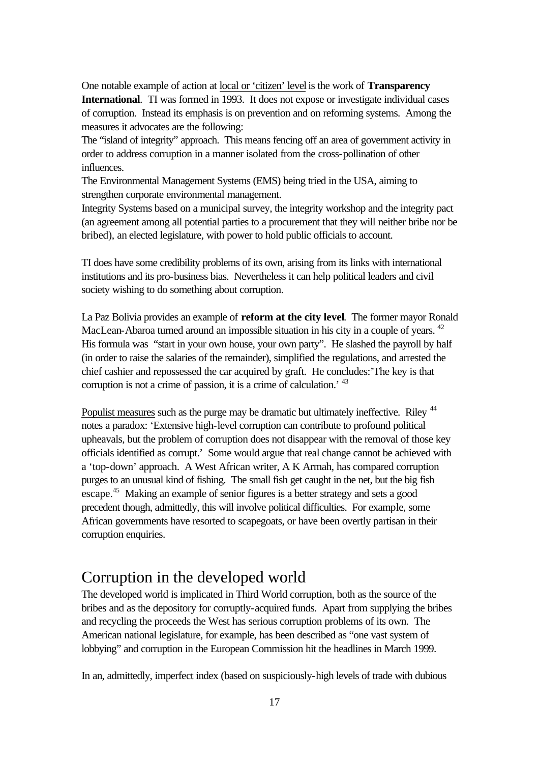One notable example of action at local or 'citizen' level is the work of **Transparency International**. TI was formed in 1993. It does not expose or investigate individual cases of corruption. Instead its emphasis is on prevention and on reforming systems. Among the measures it advocates are the following:

The "island of integrity" approach. This means fencing off an area of government activity in order to address corruption in a manner isolated from the cross-pollination of other influences.

The Environmental Management Systems (EMS) being tried in the USA, aiming to strengthen corporate environmental management.

Integrity Systems based on a municipal survey, the integrity workshop and the integrity pact (an agreement among all potential parties to a procurement that they will neither bribe nor be bribed), an elected legislature, with power to hold public officials to account.

TI does have some credibility problems of its own, arising from its links with international institutions and its pro-business bias. Nevertheless it can help political leaders and civil society wishing to do something about corruption.

La Paz Bolivia provides an example of **reform at the city level**. The former mayor Ronald MacLean-Abaroa turned around an impossible situation in his city in a couple of years. <sup>42</sup> His formula was "start in your own house, your own party". He slashed the payroll by half (in order to raise the salaries of the remainder), simplified the regulations, and arrested the chief cashier and repossessed the car acquired by graft. He concludes:'The key is that corruption is not a crime of passion, it is a crime of calculation.' <sup>43</sup>

Populist measures such as the purge may be dramatic but ultimately ineffective. Riley <sup>44</sup> notes a paradox: 'Extensive high-level corruption can contribute to profound political upheavals, but the problem of corruption does not disappear with the removal of those key officials identified as corrupt.' Some would argue that real change cannot be achieved with a 'top-down' approach. A West African writer, A K Armah, has compared corruption purges to an unusual kind of fishing. The small fish get caught in the net, but the big fish escape.<sup>45</sup> Making an example of senior figures is a better strategy and sets a good precedent though, admittedly, this will involve political difficulties. For example, some African governments have resorted to scapegoats, or have been overtly partisan in their corruption enquiries.

## Corruption in the developed world

The developed world is implicated in Third World corruption, both as the source of the bribes and as the depository for corruptly-acquired funds. Apart from supplying the bribes and recycling the proceeds the West has serious corruption problems of its own. The American national legislature, for example, has been described as "one vast system of lobbying" and corruption in the European Commission hit the headlines in March 1999.

In an, admittedly, imperfect index (based on suspiciously-high levels of trade with dubious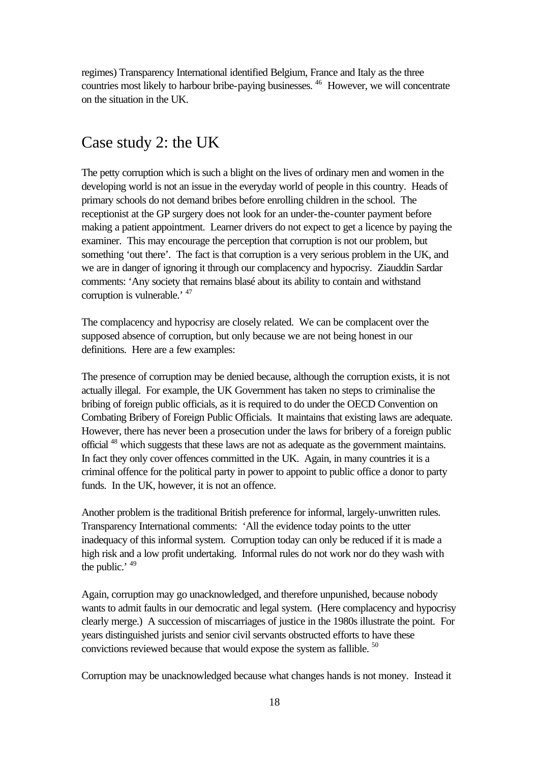regimes) Transparency International identified Belgium, France and Italy as the three countries most likely to harbour bribe-paying businesses. <sup>46</sup> However, we will concentrate on the situation in the UK.

## Case study 2: the UK

The petty corruption which is such a blight on the lives of ordinary men and women in the developing world is not an issue in the everyday world of people in this country. Heads of primary schools do not demand bribes before enrolling children in the school. The receptionist at the GP surgery does not look for an under-the-counter payment before making a patient appointment. Learner drivers do not expect to get a licence by paying the examiner. This may encourage the perception that corruption is not our problem, but something 'out there'. The fact is that corruption is a very serious problem in the UK, and we are in danger of ignoring it through our complacency and hypocrisy. Ziauddin Sardar comments: 'Any society that remains blasé about its ability to contain and withstand corruption is vulnerable.' <sup>47</sup>

The complacency and hypocrisy are closely related. We can be complacent over the supposed absence of corruption, but only because we are not being honest in our definitions. Here are a few examples:

The presence of corruption may be denied because, although the corruption exists, it is not actually illegal. For example, the UK Government has taken no steps to criminalise the bribing of foreign public officials, as it is required to do under the OECD Convention on Combating Bribery of Foreign Public Officials. It maintains that existing laws are adequate. However, there has never been a prosecution under the laws for bribery of a foreign public official <sup>48</sup> which suggests that these laws are not as adequate as the government maintains. In fact they only cover offences committed in the UK. Again, in many countries it is a criminal offence for the political party in power to appoint to public office a donor to party funds. In the UK, however, it is not an offence.

Another problem is the traditional British preference for informal, largely-unwritten rules. Transparency International comments: 'All the evidence today points to the utter inadequacy of this informal system. Corruption today can only be reduced if it is made a high risk and a low profit undertaking. Informal rules do not work nor do they wash with the public.' <sup>49</sup>

Again, corruption may go unacknowledged, and therefore unpunished, because nobody wants to admit faults in our democratic and legal system. (Here complacency and hypocrisy clearly merge.) A succession of miscarriages of justice in the 1980s illustrate the point. For years distinguished jurists and senior civil servants obstructed efforts to have these convictions reviewed because that would expose the system as fallible. <sup>50</sup>

Corruption may be unacknowledged because what changes hands is not money. Instead it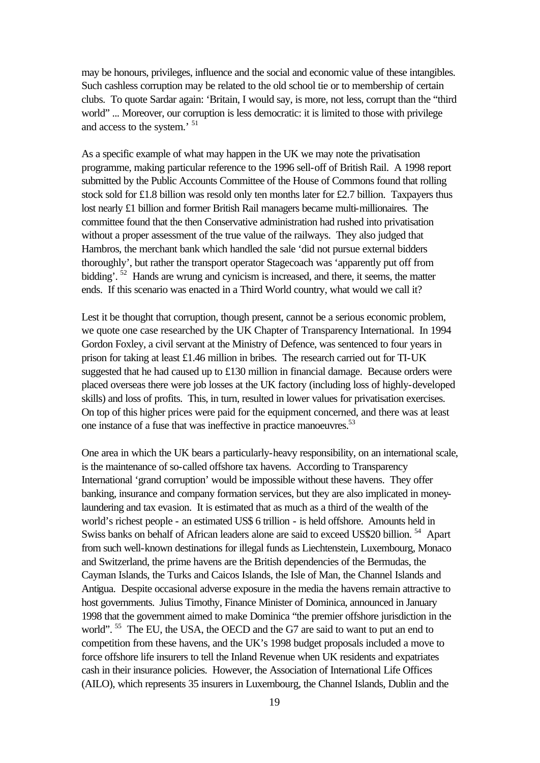may be honours, privileges, influence and the social and economic value of these intangibles. Such cashless corruption may be related to the old school tie or to membership of certain clubs. To quote Sardar again: 'Britain, I would say, is more, not less, corrupt than the "third world" ... Moreover, our corruption is less democratic: it is limited to those with privilege and access to the system.' <sup>51</sup>

As a specific example of what may happen in the UK we may note the privatisation programme, making particular reference to the 1996 sell-off of British Rail. A 1998 report submitted by the Public Accounts Committee of the House of Commons found that rolling stock sold for £1.8 billion was resold only ten months later for £2.7 billion. Taxpayers thus lost nearly £1 billion and former British Rail managers became multi-millionaires. The committee found that the then Conservative administration had rushed into privatisation without a proper assessment of the true value of the railways. They also judged that Hambros, the merchant bank which handled the sale 'did not pursue external bidders thoroughly', but rather the transport operator Stagecoach was 'apparently put off from bidding'. <sup>52</sup> Hands are wrung and cynicism is increased, and there, it seems, the matter ends. If this scenario was enacted in a Third World country, what would we call it?

Lest it be thought that corruption, though present, cannot be a serious economic problem, we quote one case researched by the UK Chapter of Transparency International. In 1994 Gordon Foxley, a civil servant at the Ministry of Defence, was sentenced to four years in prison for taking at least £1.46 million in bribes. The research carried out for TI-UK suggested that he had caused up to £130 million in financial damage. Because orders were placed overseas there were job losses at the UK factory (including loss of highly-developed skills) and loss of profits. This, in turn, resulted in lower values for privatisation exercises. On top of this higher prices were paid for the equipment concerned, and there was at least one instance of a fuse that was ineffective in practice manoeuvres.<sup>53</sup>

One area in which the UK bears a particularly-heavy responsibility, on an international scale, is the maintenance of so-called offshore tax havens. According to Transparency International 'grand corruption' would be impossible without these havens. They offer banking, insurance and company formation services, but they are also implicated in moneylaundering and tax evasion. It is estimated that as much as a third of the wealth of the world's richest people - an estimated US\$ 6 trillion - is held offshore. Amounts held in Swiss banks on behalf of African leaders alone are said to exceed US\$20 billion.<sup>54</sup> Apart from such well-known destinations for illegal funds as Liechtenstein, Luxembourg, Monaco and Switzerland, the prime havens are the British dependencies of the Bermudas, the Cayman Islands, the Turks and Caicos Islands, the Isle of Man, the Channel Islands and Antigua. Despite occasional adverse exposure in the media the havens remain attractive to host governments. Julius Timothy, Finance Minister of Dominica, announced in January 1998 that the government aimed to make Dominica "the premier offshore jurisdiction in the world". <sup>55</sup> The EU, the USA, the OECD and the G7 are said to want to put an end to competition from these havens, and the UK's 1998 budget proposals included a move to force offshore life insurers to tell the Inland Revenue when UK residents and expatriates cash in their insurance policies. However, the Association of International Life Offices (AILO), which represents 35 insurers in Luxembourg, the Channel Islands, Dublin and the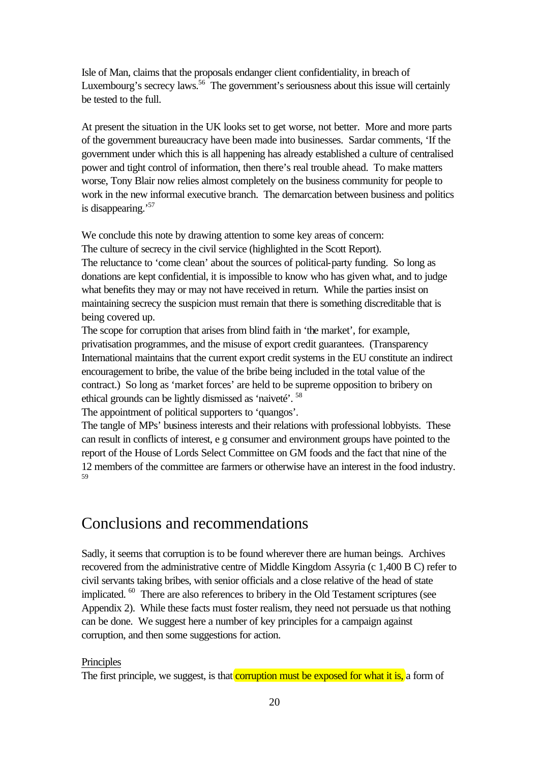Isle of Man, claims that the proposals endanger client confidentiality, in breach of Luxembourg's secrecy laws.<sup>56</sup> The government's seriousness about this issue will certainly be tested to the full.

At present the situation in the UK looks set to get worse, not better. More and more parts of the government bureaucracy have been made into businesses. Sardar comments, 'If the government under which this is all happening has already established a culture of centralised power and tight control of information, then there's real trouble ahead. To make matters worse, Tony Blair now relies almost completely on the business community for people to work in the new informal executive branch. The demarcation between business and politics is disappearing.<sup>57</sup>

We conclude this note by drawing attention to some key areas of concern: The culture of secrecy in the civil service (highlighted in the Scott Report). The reluctance to 'come clean' about the sources of political-party funding. So long as donations are kept confidential, it is impossible to know who has given what, and to judge what benefits they may or may not have received in return. While the parties insist on maintaining secrecy the suspicion must remain that there is something discreditable that is being covered up.

The scope for corruption that arises from blind faith in 'the market', for example, privatisation programmes, and the misuse of export credit guarantees. (Transparency International maintains that the current export credit systems in the EU constitute an indirect encouragement to bribe, the value of the bribe being included in the total value of the contract.) So long as 'market forces' are held to be supreme opposition to bribery on ethical grounds can be lightly dismissed as 'naiveté'. <sup>58</sup>

The appointment of political supporters to 'quangos'.

The tangle of MPs' business interests and their relations with professional lobbyists. These can result in conflicts of interest, e g consumer and environment groups have pointed to the report of the House of Lords Select Committee on GM foods and the fact that nine of the 12 members of the committee are farmers or otherwise have an interest in the food industry. 59

## Conclusions and recommendations

Sadly, it seems that corruption is to be found wherever there are human beings. Archives recovered from the administrative centre of Middle Kingdom Assyria (c 1,400 B C) refer to civil servants taking bribes, with senior officials and a close relative of the head of state implicated. <sup>60</sup> There are also references to bribery in the Old Testament scriptures (see Appendix 2). While these facts must foster realism, they need not persuade us that nothing can be done. We suggest here a number of key principles for a campaign against corruption, and then some suggestions for action.

#### **Principles**

The first principle, we suggest, is that **corruption must be exposed for what it is**, a form of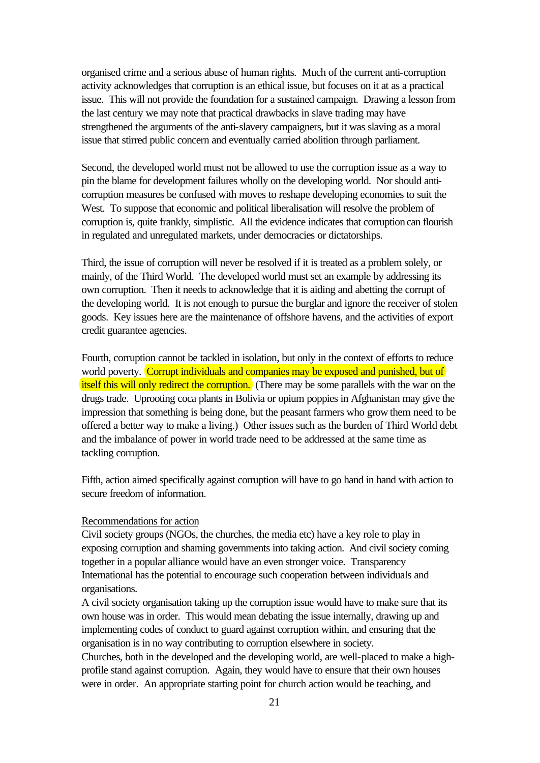organised crime and a serious abuse of human rights. Much of the current anti-corruption activity acknowledges that corruption is an ethical issue, but focuses on it at as a practical issue. This will not provide the foundation for a sustained campaign. Drawing a lesson from the last century we may note that practical drawbacks in slave trading may have strengthened the arguments of the anti-slavery campaigners, but it was slaving as a moral issue that stirred public concern and eventually carried abolition through parliament.

Second, the developed world must not be allowed to use the corruption issue as a way to pin the blame for development failures wholly on the developing world. Nor should anticorruption measures be confused with moves to reshape developing economies to suit the West. To suppose that economic and political liberalisation will resolve the problem of corruption is, quite frankly, simplistic. All the evidence indicates that corruption can flourish in regulated and unregulated markets, under democracies or dictatorships.

Third, the issue of corruption will never be resolved if it is treated as a problem solely, or mainly, of the Third World. The developed world must set an example by addressing its own corruption. Then it needs to acknowledge that it is aiding and abetting the corrupt of the developing world. It is not enough to pursue the burglar and ignore the receiver of stolen goods. Key issues here are the maintenance of offshore havens, and the activities of export credit guarantee agencies.

Fourth, corruption cannot be tackled in isolation, but only in the context of efforts to reduce world poverty. Corrupt individuals and companies may be exposed and punished, but of itself this will only redirect the corruption. (There may be some parallels with the war on the drugs trade. Uprooting coca plants in Bolivia or opium poppies in Afghanistan may give the impression that something is being done, but the peasant farmers who grow them need to be offered a better way to make a living.) Other issues such as the burden of Third World debt and the imbalance of power in world trade need to be addressed at the same time as tackling corruption.

Fifth, action aimed specifically against corruption will have to go hand in hand with action to secure freedom of information.

#### Recommendations for action

Civil society groups (NGOs, the churches, the media etc) have a key role to play in exposing corruption and shaming governments into taking action. And civil society coming together in a popular alliance would have an even stronger voice. Transparency International has the potential to encourage such cooperation between individuals and organisations.

A civil society organisation taking up the corruption issue would have to make sure that its own house was in order. This would mean debating the issue internally, drawing up and implementing codes of conduct to guard against corruption within, and ensuring that the organisation is in no way contributing to corruption elsewhere in society.

Churches, both in the developed and the developing world, are well-placed to make a highprofile stand against corruption. Again, they would have to ensure that their own houses were in order. An appropriate starting point for church action would be teaching, and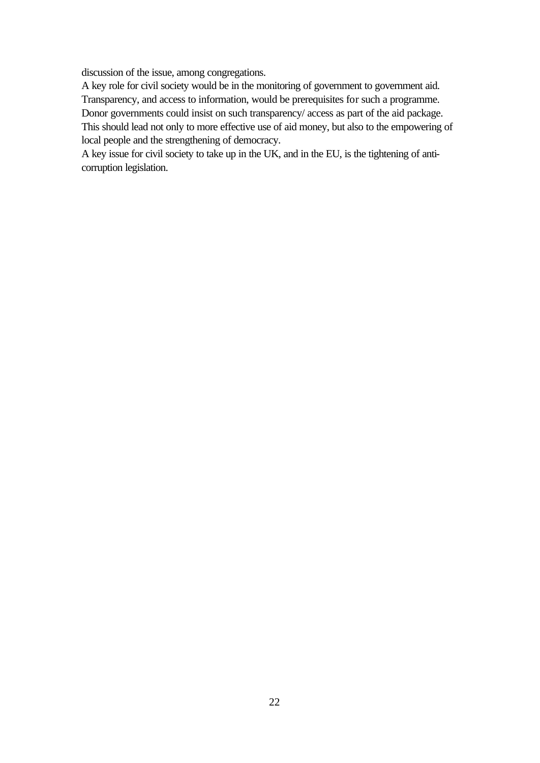discussion of the issue, among congregations.

A key role for civil society would be in the monitoring of government to government aid. Transparency, and access to information, would be prerequisites for such a programme. Donor governments could insist on such transparency/ access as part of the aid package. This should lead not only to more effective use of aid money, but also to the empowering of local people and the strengthening of democracy.

A key issue for civil society to take up in the UK, and in the EU, is the tightening of anticorruption legislation.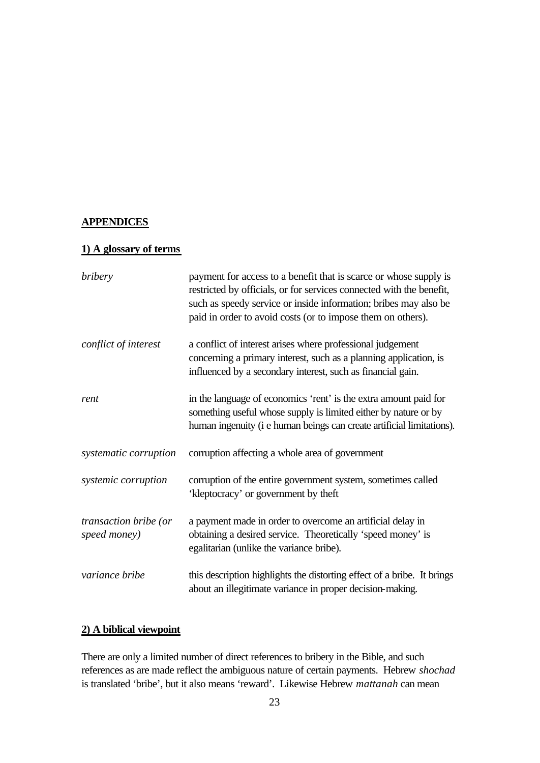#### **APPENDICES**

#### **1) A glossary of terms**

| bribery                               | payment for access to a benefit that is scarce or whose supply is<br>restricted by officials, or for services connected with the benefit,<br>such as speedy service or inside information; bribes may also be<br>paid in order to avoid costs (or to impose them on others). |
|---------------------------------------|------------------------------------------------------------------------------------------------------------------------------------------------------------------------------------------------------------------------------------------------------------------------------|
| conflict of interest                  | a conflict of interest arises where professional judgement<br>concerning a primary interest, such as a planning application, is<br>influenced by a secondary interest, such as financial gain.                                                                               |
| rent                                  | in the language of economics 'rent' is the extra amount paid for<br>something useful whose supply is limited either by nature or by<br>human ingenuity (i e human beings can create artificial limitations).                                                                 |
| systematic corruption                 | corruption affecting a whole area of government                                                                                                                                                                                                                              |
| systemic corruption                   | corruption of the entire government system, sometimes called<br>'kleptocracy' or government by theft                                                                                                                                                                         |
| transaction bribe (or<br>speed money) | a payment made in order to overcome an artificial delay in<br>obtaining a desired service. Theoretically 'speed money' is<br>egalitarian (unlike the variance bribe).                                                                                                        |
| variance bribe                        | this description highlights the distorting effect of a bribe. It brings<br>about an illegitimate variance in proper decision-making.                                                                                                                                         |

#### **2) A biblical viewpoint**

There are only a limited number of direct references to bribery in the Bible, and such references as are made reflect the ambiguous nature of certain payments. Hebrew *shochad* is translated 'bribe', but it also means 'reward'. Likewise Hebrew *mattanah* can mean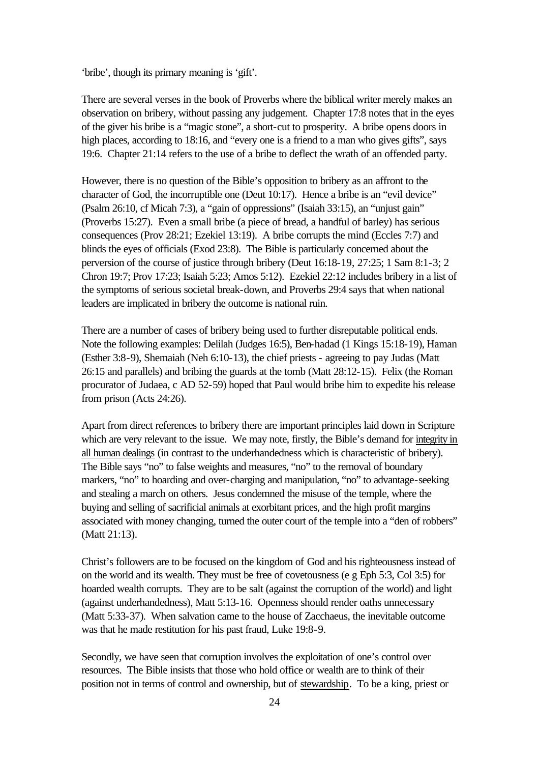'bribe', though its primary meaning is 'gift'.

There are several verses in the book of Proverbs where the biblical writer merely makes an observation on bribery, without passing any judgement. Chapter 17:8 notes that in the eyes of the giver his bribe is a "magic stone", a short-cut to prosperity. A bribe opens doors in high places, according to 18:16, and "every one is a friend to a man who gives gifts", says 19:6. Chapter 21:14 refers to the use of a bribe to deflect the wrath of an offended party.

However, there is no question of the Bible's opposition to bribery as an affront to the character of God, the incorruptible one (Deut 10:17). Hence a bribe is an "evil device" (Psalm 26:10, cf Micah 7:3), a "gain of oppressions" (Isaiah 33:15), an "unjust gain" (Proverbs 15:27). Even a small bribe (a piece of bread, a handful of barley) has serious consequences (Prov 28:21; Ezekiel 13:19). A bribe corrupts the mind (Eccles 7:7) and blinds the eyes of officials (Exod 23:8). The Bible is particularly concerned about the perversion of the course of justice through bribery (Deut 16:18-19, 27:25; 1 Sam 8:1-3; 2 Chron 19:7; Prov 17:23; Isaiah 5:23; Amos 5:12). Ezekiel 22:12 includes bribery in a list of the symptoms of serious societal break-down, and Proverbs 29:4 says that when national leaders are implicated in bribery the outcome is national ruin.

There are a number of cases of bribery being used to further disreputable political ends. Note the following examples: Delilah (Judges 16:5), Ben-hadad (1 Kings 15:18-19), Haman (Esther 3:8-9), Shemaiah (Neh 6:10-13), the chief priests - agreeing to pay Judas (Matt 26:15 and parallels) and bribing the guards at the tomb (Matt 28:12-15). Felix (the Roman procurator of Judaea, c AD 52-59) hoped that Paul would bribe him to expedite his release from prison (Acts 24:26).

Apart from direct references to bribery there are important principles laid down in Scripture which are very relevant to the issue. We may note, firstly, the Bible's demand for integrity in all human dealings (in contrast to the underhandedness which is characteristic of bribery). The Bible says "no" to false weights and measures, "no" to the removal of boundary markers, "no" to hoarding and over-charging and manipulation, "no" to advantage-seeking and stealing a march on others. Jesus condemned the misuse of the temple, where the buying and selling of sacrificial animals at exorbitant prices, and the high profit margins associated with money changing, turned the outer court of the temple into a "den of robbers" (Matt 21:13).

Christ's followers are to be focused on the kingdom of God and his righteousness instead of on the world and its wealth. They must be free of covetousness (e g Eph 5:3, Col 3:5) for hoarded wealth corrupts. They are to be salt (against the corruption of the world) and light (against underhandedness), Matt 5:13-16. Openness should render oaths unnecessary (Matt 5:33-37). When salvation came to the house of Zacchaeus, the inevitable outcome was that he made restitution for his past fraud, Luke 19:8-9.

Secondly, we have seen that corruption involves the exploitation of one's control over resources. The Bible insists that those who hold office or wealth are to think of their position not in terms of control and ownership, but of stewardship. To be a king, priest or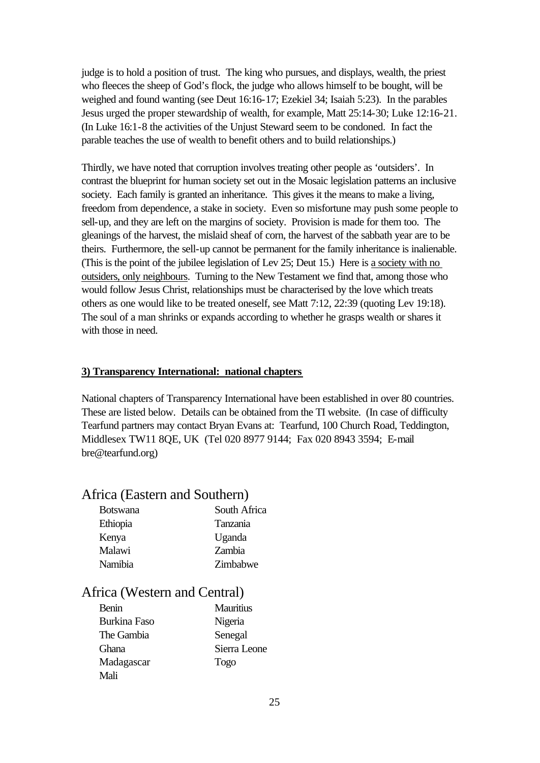judge is to hold a position of trust. The king who pursues, and displays, wealth, the priest who fleeces the sheep of God's flock, the judge who allows himself to be bought, will be weighed and found wanting (see Deut 16:16-17; Ezekiel 34; Isaiah 5:23). In the parables Jesus urged the proper stewardship of wealth, for example, Matt 25:14-30; Luke 12:16-21. (In Luke 16:1-8 the activities of the Unjust Steward seem to be condoned. In fact the parable teaches the use of wealth to benefit others and to build relationships.)

Thirdly, we have noted that corruption involves treating other people as 'outsiders'. In contrast the blueprint for human society set out in the Mosaic legislation patterns an inclusive society. Each family is granted an inheritance. This gives it the means to make a living, freedom from dependence, a stake in society. Even so misfortune may push some people to sell-up, and they are left on the margins of society. Provision is made for them too. The gleanings of the harvest, the mislaid sheaf of corn, the harvest of the sabbath year are to be theirs. Furthermore, the sell-up cannot be permanent for the family inheritance is inalienable. (This is the point of the jubilee legislation of Lev 25; Deut 15.) Here is a society with no outsiders, only neighbours. Turning to the New Testament we find that, among those who would follow Jesus Christ, relationships must be characterised by the love which treats others as one would like to be treated oneself, see Matt 7:12, 22:39 (quoting Lev 19:18). The soul of a man shrinks or expands according to whether he grasps wealth or shares it with those in need.

#### **3) Transparency International: national chapters**

National chapters of Transparency International have been established in over 80 countries. These are listed below. Details can be obtained from the TI website. (In case of difficulty Tearfund partners may contact Bryan Evans at: Tearfund, 100 Church Road, Teddington, Middlesex TW11 8QE, UK (Tel 020 8977 9144; Fax 020 8943 3594; E-mail bre@tearfund.org)

#### Africa (Eastern and Southern)

| <b>Botswana</b> | South Africa |
|-----------------|--------------|
| Ethiopia        | Tanzania     |
| Kenya           | Uganda       |
| Malawi          | Zambia       |
| Namibia         | Zimbabwe     |
|                 |              |

#### Africa (Western and Central)

| Benin               | <b>Mauritius</b> |
|---------------------|------------------|
| <b>Burkina Faso</b> | Nigeria          |
| The Gambia          | Senegal          |
| <b>Ghana</b>        | Sierra Leone     |
| Madagascar          | Togo             |
| Mali                |                  |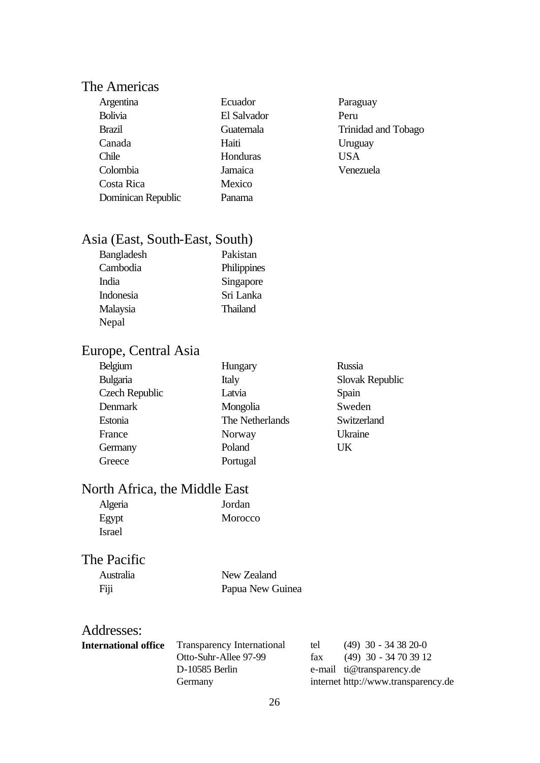## The Americas

| Argentina          | Ecuador     | Parag      |
|--------------------|-------------|------------|
| <b>Bolivia</b>     | El Salvador | Peru       |
| <b>Brazil</b>      | Guatemala   | Trinio     |
| Canada             | Haiti       | Urug       |
| Chile              | Honduras    | <b>USA</b> |
| Colombia           | Jamaica     | Vene       |
| Costa Rica         | Mexico      |            |
| Dominican Republic | Panama      |            |

Paraguay Trinidad and Tobago Uruguay Venezuela

## Asia (East, South-East, South)

| Pakistan        |
|-----------------|
| Philippines     |
| Singapore       |
| Sri Lanka       |
| <b>Thailand</b> |
|                 |
|                 |

## Europe, Central Asia

| Belgium               | Hungary         | Russia          |
|-----------------------|-----------------|-----------------|
| Bulgaria              | Italy           | Slovak Republic |
| <b>Czech Republic</b> | Latvia          | Spain           |
| <b>Denmark</b>        | Mongolia        | Sweden          |
| Estonia               | The Netherlands | Switzerland     |
| France                | Norway          | Ukraine         |
| Germany               | Poland          | UK              |
| Greece                | Portugal        |                 |

## North Africa, the Middle East

| Algeria       | Jordan  |
|---------------|---------|
| Egypt         | Morocco |
| <b>Israel</b> |         |

## The Pacific

| Australia | New Zealand      |
|-----------|------------------|
| Fiji      | Papua New Guinea |

### Addresses:

| <b>International office</b> | <b>Transparency International</b> | tel | $(49)$ 30 - 34 38 20-0              |
|-----------------------------|-----------------------------------|-----|-------------------------------------|
|                             | Otto-Suhr-Allee 97-99             | fax | $(49)$ 30 - 34 70 39 12             |
|                             | D-10585 Berlin                    |     | e-mail ti@transparency.de           |
|                             | Germany                           |     | internet http://www.transparency.de |
|                             |                                   |     |                                     |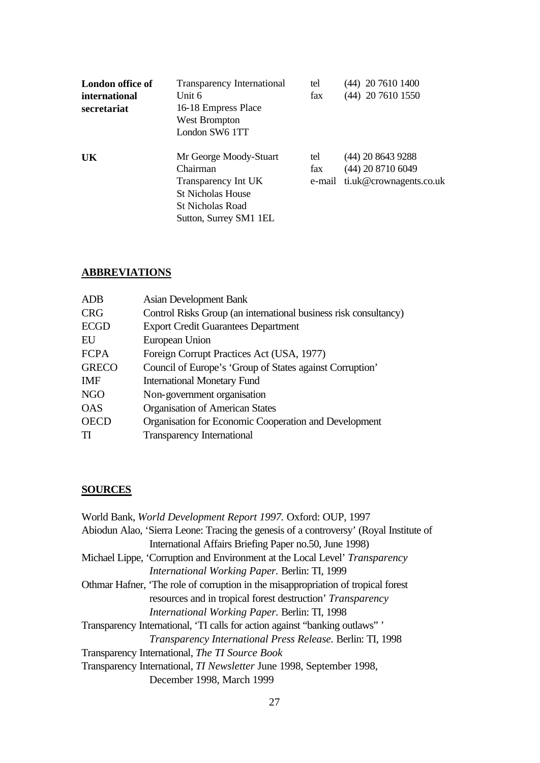| London office of<br>international<br>secretariat | Transparency International<br>Unit 6<br>16-18 Empress Place<br>West Brompton<br>London SW6 1TT                                             | tel<br>fax | $(44)$ 20 7610 1400<br>(44) 20 7610 1550                                     |
|--------------------------------------------------|--------------------------------------------------------------------------------------------------------------------------------------------|------------|------------------------------------------------------------------------------|
| <b>UK</b>                                        | Mr George Moody-Stuart<br>Chairman<br>Transparency Int UK<br><b>St Nicholas House</b><br><b>St Nicholas Road</b><br>Sutton, Surrey SM1 1EL | tel<br>fax | $(44)$ 20 8643 9288<br>$(44)$ 20 8710 6049<br>e-mail ti.uk@crownagents.co.uk |

#### **ABBREVIATIONS**

| <b>ADB</b>   | <b>Asian Development Bank</b>                                    |
|--------------|------------------------------------------------------------------|
| <b>CRG</b>   | Control Risks Group (an international business risk consultancy) |
| <b>ECGD</b>  | <b>Export Credit Guarantees Department</b>                       |
| EU           | European Union                                                   |
| <b>FCPA</b>  | Foreign Corrupt Practices Act (USA, 1977)                        |
| <b>GRECO</b> | Council of Europe's 'Group of States against Corruption'         |
| <b>IMF</b>   | <b>International Monetary Fund</b>                               |
| <b>NGO</b>   | Non-government organisation                                      |
| <b>OAS</b>   | <b>Organisation of American States</b>                           |
| <b>OECD</b>  | Organisation for Economic Cooperation and Development            |
| TI           | <b>Transparency International</b>                                |
|              |                                                                  |

#### **SOURCES**

World Bank, *World Development Report 1997.* Oxford: OUP, 1997 Abiodun Alao, 'Sierra Leone: Tracing the genesis of a controversy' (Royal Institute of International Affairs Briefing Paper no.50, June 1998) Michael Lippe, 'Corruption and Environment at the Local Level' *Transparency International Working Paper.* Berlin: TI, 1999 Othmar Hafner, 'The role of corruption in the misappropriation of tropical forest resources and in tropical forest destruction' *Transparency International Working Paper.* Berlin: TI, 1998 Transparency International, 'TI calls for action against "banking outlaws" ' *Transparency International Press Release.* Berlin: TI, 1998 Transparency International, *The TI Source Book*  Transparency International, *TI Newsletter* June 1998, September 1998, December 1998, March 1999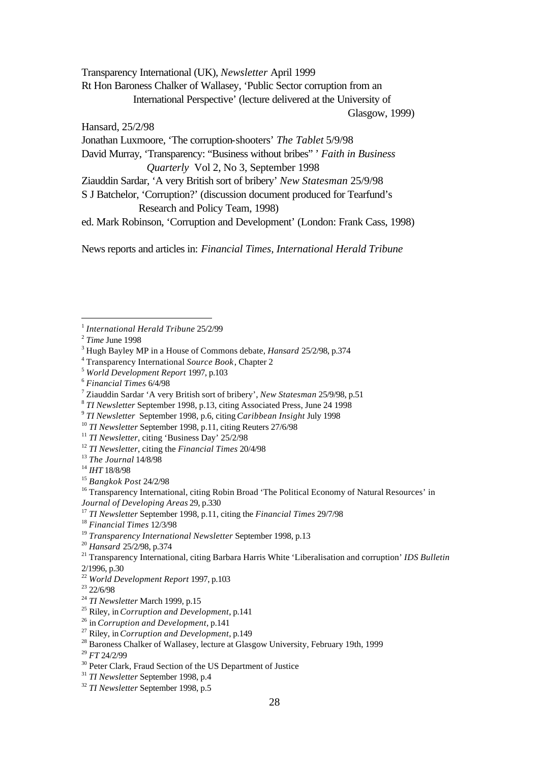Transparency International (UK), *Newsletter* April 1999 Rt Hon Baroness Chalker of Wallasey, 'Public Sector corruption from an International Perspective' (lecture delivered at the University of

Glasgow, 1999)

Hansard, 25/2/98

Jonathan Luxmoore, 'The corruption-shooters' *The Tablet* 5/9/98

David Murray, 'Transparency: "Business without bribes" ' *Faith in Business Quarterly* Vol 2, No 3, September 1998

Ziauddin Sardar, 'A very British sort of bribery' *New Statesman* 25/9/98

S J Batchelor, 'Corruption?' (discussion document produced for Tearfund's Research and Policy Team, 1998)

ed. Mark Robinson, 'Corruption and Development' (London: Frank Cass, 1998)

News reports and articles in: *Financial Times, International Herald Tribune*

j

<sup>14</sup> *IHT* 18/8/98

<sup>1</sup> *International Herald Tribune* 25/2/99

<sup>2</sup> *Time* June 1998

<sup>3</sup> Hugh Bayley MP in a House of Commons debate, *Hansard* 25/2/98, p.374

<sup>4</sup> Transparency International *Source Book*, Chapter 2

<sup>5</sup> *World Development Report* 1997, p.103

<sup>6</sup> *Financial Times* 6/4/98

<sup>7</sup> Ziauddin Sardar 'A very British sort of bribery', *New Statesman* 25/9/98, p.51

<sup>8</sup> *TI Newsletter* September 1998, p.13, citing Associated Press, June 24 1998

<sup>9</sup> *TI Newsletter* September 1998, p.6, citing *Caribbean Insight* July 1998

<sup>10</sup> *TI Newsletter* September 1998, p.11, citing Reuters 27/6/98

<sup>&</sup>lt;sup>11</sup> *TI Newsletter*, citing 'Business Day' 25/2/98

<sup>12</sup> *TI Newsletter*, citing the *Financial Times* 20/4/98

<sup>13</sup> *The Journal* 14/8/98

<sup>15</sup> *Bangkok Post* 24/2/98

<sup>&</sup>lt;sup>16</sup> Transparency International, citing Robin Broad 'The Political Economy of Natural Resources' in *Journal of Developing Areas* 29, p.330

<sup>17</sup> *TI Newsletter* September 1998, p.11, citing the *Financial Times* 29/7/98

<sup>18</sup> *Financial Times* 12/3/98

<sup>19</sup> *Transparency International Newsletter* September 1998, p.13

<sup>20</sup> *Hansard* 25/2/98, p.374

<sup>21</sup> Transparency International, citing Barbara Harris White 'Liberalisation and corruption' *IDS Bulletin* 2/1996, p.30

<sup>22</sup> *World Development Report* 1997, p.103

 $23$  22/6/98

<sup>24</sup> *TI Newsletter* March 1999, p.15

<sup>25</sup> Riley, in *Corruption and Development*, p.141

<sup>26</sup> in *Corruption and Development*, p.141

<sup>27</sup> Riley, in *Corruption and Development*, p.149

<sup>&</sup>lt;sup>28</sup> Baroness Chalker of Wallasey, lecture at Glasgow University, February 19th, 1999

<sup>29</sup> *FT* 24/2/99

<sup>&</sup>lt;sup>30</sup> Peter Clark, Fraud Section of the US Department of Justice

<sup>31</sup> *TI Newsletter* September 1998, p.4

<sup>32</sup> *TI Newsletter* September 1998, p.5